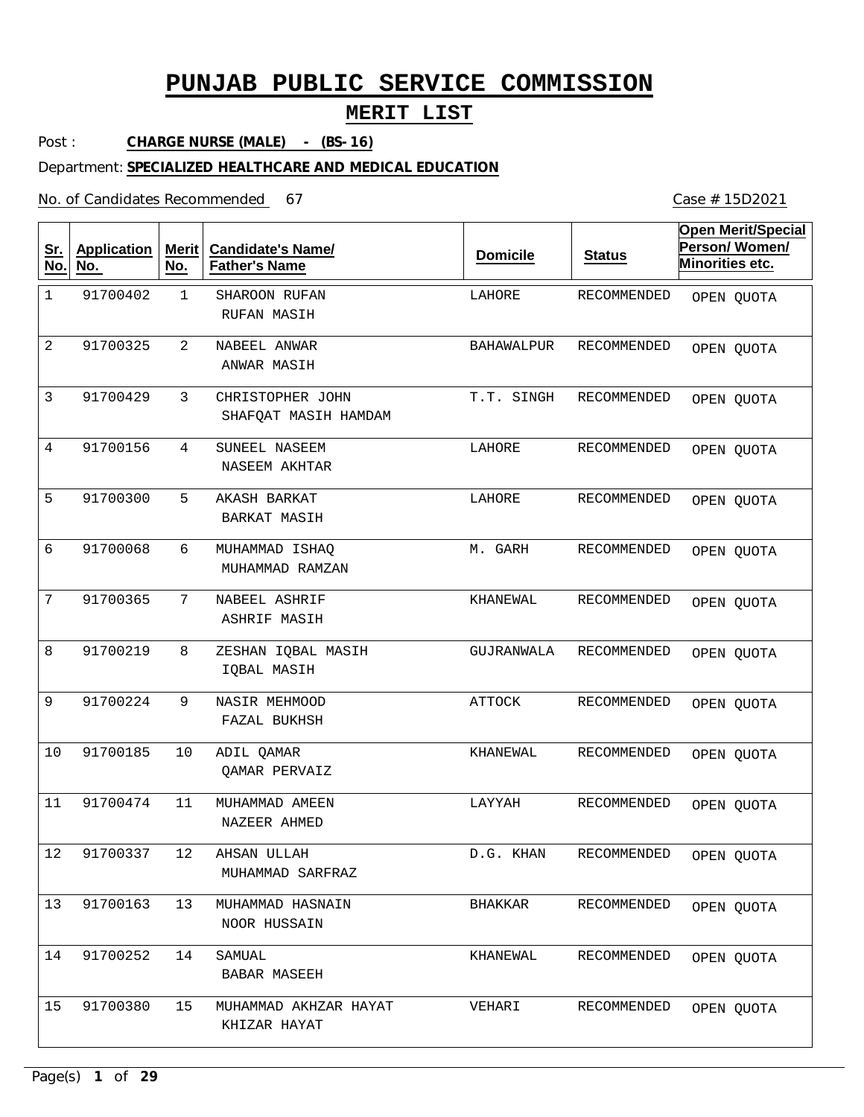## **MERIT LIST**

Post : **CHARGE NURSE (MALE) - (BS-16)**

#### Department: **SPECIALIZED HEALTHCARE AND MEDICAL EDUCATION**

No. of Candidates Recommended

| <u>Sr.</u><br>No. | <b>Application</b><br>No. | <b>Merit</b><br>No. | <b>Candidate's Name/</b><br><b>Father's Name</b> | <b>Domicile</b>   | <b>Status</b>      | <b>Open Merit/Special</b><br>Person/Women/<br>Minorities etc. |
|-------------------|---------------------------|---------------------|--------------------------------------------------|-------------------|--------------------|---------------------------------------------------------------|
| $\mathbf 1$       | 91700402                  | $\mathbf{1}$        | SHAROON RUFAN<br>RUFAN MASIH                     | LAHORE            | RECOMMENDED        | OPEN QUOTA                                                    |
| 2                 | 91700325                  | 2                   | NABEEL ANWAR<br>ANWAR MASIH                      | <b>BAHAWALPUR</b> | RECOMMENDED        | OPEN QUOTA                                                    |
| 3                 | 91700429                  | 3                   | CHRISTOPHER JOHN<br>SHAFQAT MASIH HAMDAM         | T.T. SINGH        | <b>RECOMMENDED</b> | OPEN QUOTA                                                    |
| 4                 | 91700156                  | 4                   | SUNEEL NASEEM<br>NASEEM AKHTAR                   | LAHORE            | RECOMMENDED        | OPEN QUOTA                                                    |
| 5                 | 91700300                  | 5                   | AKASH BARKAT<br><b>BARKAT MASIH</b>              | LAHORE            | <b>RECOMMENDED</b> | OPEN QUOTA                                                    |
| 6                 | 91700068                  | 6                   | MUHAMMAD ISHAQ<br>MUHAMMAD RAMZAN                | M. GARH           | RECOMMENDED        | OPEN QUOTA                                                    |
| 7                 | 91700365                  | 7                   | NABEEL ASHRIF<br>ASHRIF MASIH                    | KHANEWAL          | RECOMMENDED        | OPEN QUOTA                                                    |
| 8                 | 91700219                  | 8                   | ZESHAN IQBAL MASIH<br>IQBAL MASIH                | GUJRANWALA        | RECOMMENDED        | OPEN QUOTA                                                    |
| 9                 | 91700224                  | 9                   | NASIR MEHMOOD<br>FAZAL BUKHSH                    | <b>ATTOCK</b>     | RECOMMENDED        | OPEN QUOTA                                                    |
| 10                | 91700185                  | 10                  | ADIL QAMAR<br>QAMAR PERVAIZ                      | KHANEWAL          | RECOMMENDED        | OPEN QUOTA                                                    |
| 11                | 91700474                  | 11                  | MUHAMMAD AMEEN<br>NAZEER AHMED                   | LAYYAH            | RECOMMENDED        | OPEN QUOTA                                                    |
| $12$              | 91700337                  | 12                  | AHSAN ULLAH<br>MUHAMMAD SARFRAZ                  | D.G. KHAN         | RECOMMENDED        | OPEN QUOTA                                                    |
| 13                | 91700163                  | 13                  | MUHAMMAD HASNAIN<br>NOOR HUSSAIN                 | BHAKKAR           | RECOMMENDED        | OPEN QUOTA                                                    |
| 14                | 91700252                  | 14                  | SAMUAL<br>BABAR MASEEH                           | KHANEWAL          | RECOMMENDED        | OPEN QUOTA                                                    |
| 15                | 91700380                  | 15                  | MUHAMMAD AKHZAR HAYAT<br>KHIZAR HAYAT            | VEHARI            | RECOMMENDED        | OPEN QUOTA                                                    |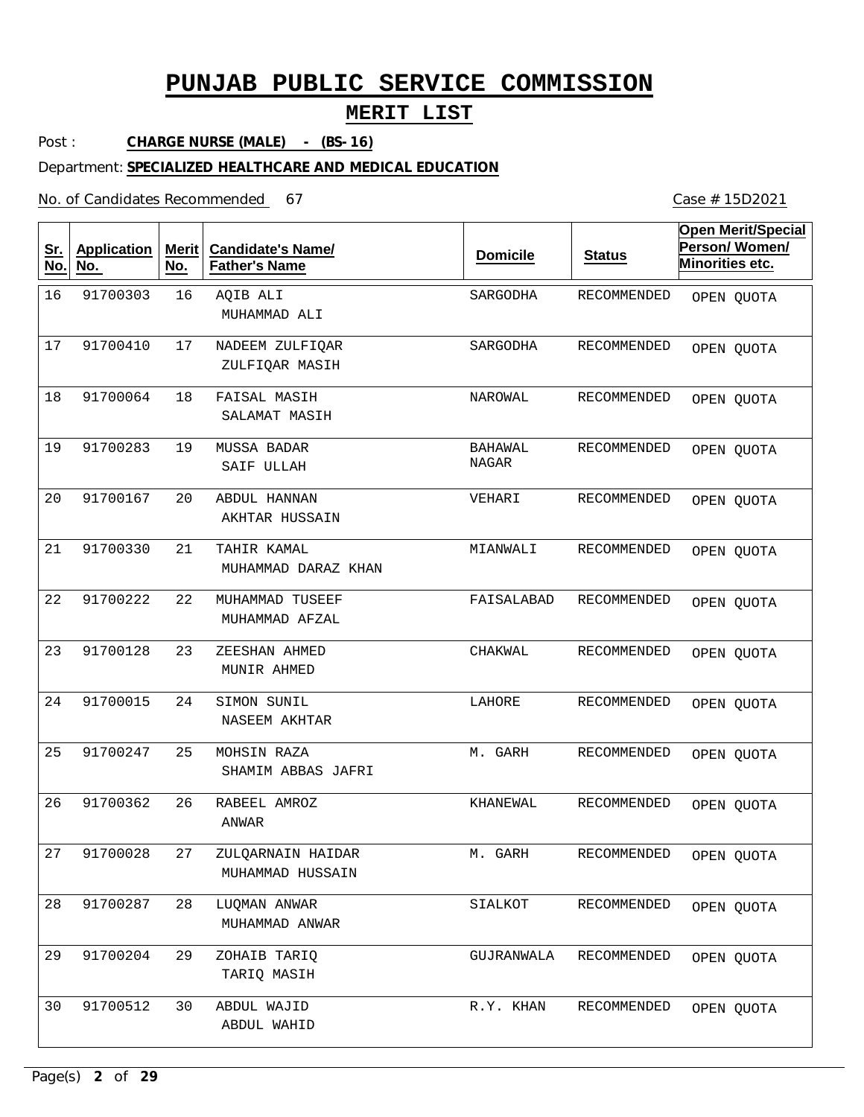## **MERIT LIST**

Post : **CHARGE NURSE (MALE) - (BS-16)**

#### Department: **SPECIALIZED HEALTHCARE AND MEDICAL EDUCATION**

No. of Candidates Recommended

| <u>Sr.</u><br>No. | <b>Application</b><br>No. | <b>Merit</b><br>No. | <b>Candidate's Name/</b><br><b>Father's Name</b> | <b>Domicile</b>         | <b>Status</b>      | <b>Open Merit/Special</b><br>Person/Women/<br>Minorities etc. |
|-------------------|---------------------------|---------------------|--------------------------------------------------|-------------------------|--------------------|---------------------------------------------------------------|
| 16                | 91700303                  | 16                  | AQIB ALI<br>MUHAMMAD ALI                         | SARGODHA                | RECOMMENDED        | OPEN QUOTA                                                    |
| 17                | 91700410                  | 17                  | NADEEM ZULFIQAR<br>ZULFIQAR MASIH                | SARGODHA                | RECOMMENDED        | OPEN QUOTA                                                    |
| 18                | 91700064                  | 18                  | FAISAL MASIH<br>SALAMAT MASIH                    | NAROWAL                 | <b>RECOMMENDED</b> | OPEN QUOTA                                                    |
| 19                | 91700283                  | 19                  | MUSSA BADAR<br>SAIF ULLAH                        | BAHAWAL<br><b>NAGAR</b> | RECOMMENDED        | OPEN QUOTA                                                    |
| 20                | 91700167                  | 20                  | ABDUL HANNAN<br>AKHTAR HUSSAIN                   | VEHARI                  | RECOMMENDED        | OPEN QUOTA                                                    |
| 21                | 91700330                  | 21                  | TAHIR KAMAL<br>MUHAMMAD DARAZ KHAN               | MIANWALI                | RECOMMENDED        | OPEN QUOTA                                                    |
| 22                | 91700222                  | 22                  | MUHAMMAD TUSEEF<br>MUHAMMAD AFZAL                | FAISALABAD              | RECOMMENDED        | OPEN QUOTA                                                    |
| 23                | 91700128                  | 23                  | ZEESHAN AHMED<br>MUNIR AHMED                     | CHAKWAL                 | RECOMMENDED        | OPEN QUOTA                                                    |
| 24                | 91700015                  | 24                  | SIMON SUNIL<br>NASEEM AKHTAR                     | LAHORE                  | RECOMMENDED        | OPEN QUOTA                                                    |
| 25                | 91700247                  | 25                  | MOHSIN RAZA<br>SHAMIM ABBAS JAFRI                | M. GARH                 | RECOMMENDED        | OPEN QUOTA                                                    |
| 26                | 91700362                  | 26                  | RABEEL AMROZ<br>ANWAR                            | KHANEWAL                | RECOMMENDED        | OPEN QUOTA                                                    |
| 27                | 91700028                  | 27                  | ZULQARNAIN HAIDAR<br>MUHAMMAD HUSSAIN            | GARH<br>М.              | RECOMMENDED        | OPEN QUOTA                                                    |
| 28                | 91700287                  | 28                  | LUQMAN ANWAR<br>MUHAMMAD ANWAR                   | SIALKOT                 | RECOMMENDED        | OPEN QUOTA                                                    |
| 29                | 91700204                  | 29                  | ZOHAIB TARIQ<br>TARIQ MASIH                      | GUJRANWALA              | RECOMMENDED        | OPEN QUOTA                                                    |
| 30                | 91700512                  | 30                  | ABDUL WAJID<br>ABDUL WAHID                       | R.Y. KHAN               | RECOMMENDED        | OPEN QUOTA                                                    |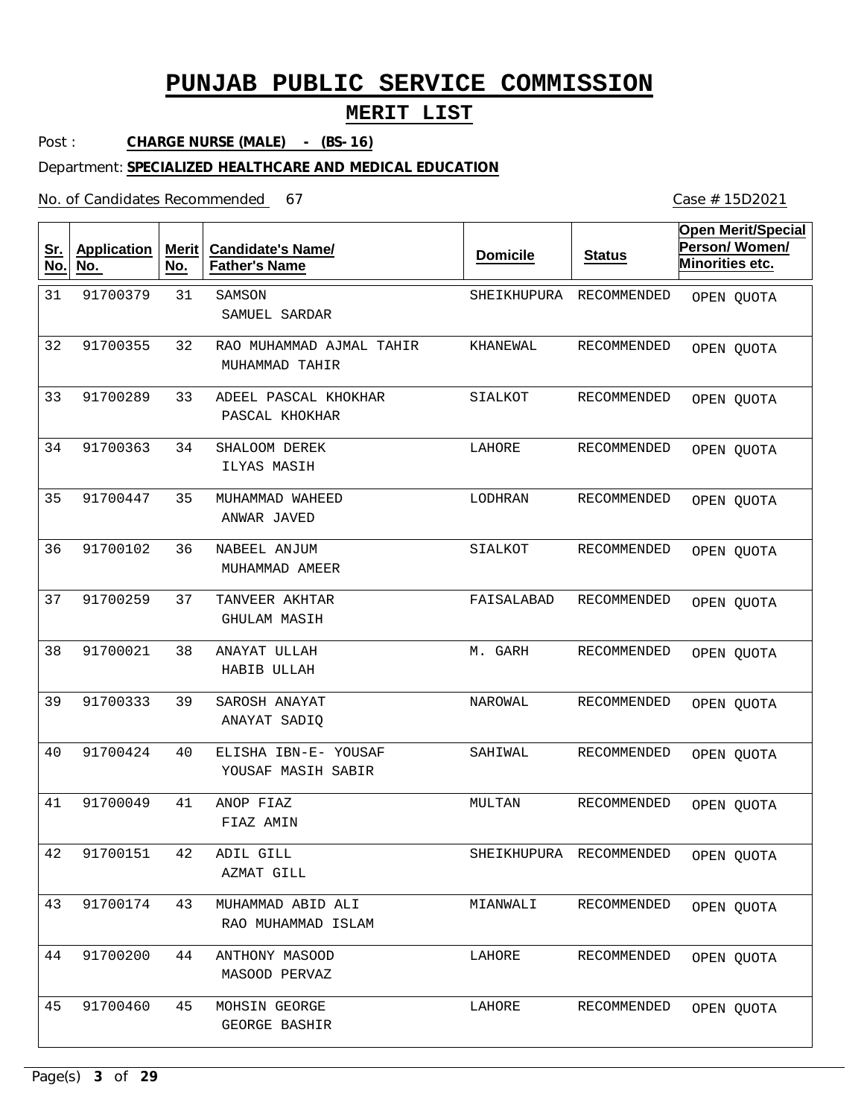## **MERIT LIST**

Post : **CHARGE NURSE (MALE) - (BS-16)**

#### Department: **SPECIALIZED HEALTHCARE AND MEDICAL EDUCATION**

No. of Candidates Recommended

| <u>Sr.</u><br>No. | <b>Application</b><br>No. | <b>Merit</b><br>No. | <b>Candidate's Name/</b><br><b>Father's Name</b> | <b>Domicile</b> | <b>Status</b>           | <b>Open Merit/Special</b><br>Person/Women/<br>Minorities etc. |
|-------------------|---------------------------|---------------------|--------------------------------------------------|-----------------|-------------------------|---------------------------------------------------------------|
| 31                | 91700379                  | 31                  | SAMSON<br>SAMUEL SARDAR                          | SHEIKHUPURA     | RECOMMENDED             | OPEN QUOTA                                                    |
| 32                | 91700355                  | 32                  | RAO MUHAMMAD AJMAL TAHIR<br>MUHAMMAD TAHIR       | KHANEWAL        | RECOMMENDED             | OPEN QUOTA                                                    |
| 33                | 91700289                  | 33                  | ADEEL PASCAL KHOKHAR<br>PASCAL KHOKHAR           | SIALKOT         | RECOMMENDED             | OPEN QUOTA                                                    |
| 34                | 91700363                  | 34                  | SHALOOM DEREK<br>ILYAS MASIH                     | LAHORE          | RECOMMENDED             | OPEN QUOTA                                                    |
| 35                | 91700447                  | 35                  | MUHAMMAD WAHEED<br>ANWAR JAVED                   | LODHRAN         | RECOMMENDED             | OPEN QUOTA                                                    |
| 36                | 91700102                  | 36                  | NABEEL ANJUM<br>MUHAMMAD AMEER                   | SIALKOT         | RECOMMENDED             | OPEN QUOTA                                                    |
| 37                | 91700259                  | 37                  | TANVEER AKHTAR<br>GHULAM MASIH                   | FAISALABAD      | RECOMMENDED             | OPEN QUOTA                                                    |
| 38                | 91700021                  | 38                  | ANAYAT ULLAH<br>HABIB ULLAH                      | M. GARH         | RECOMMENDED             | OPEN QUOTA                                                    |
| 39                | 91700333                  | 39                  | SAROSH ANAYAT<br>ANAYAT SADIQ                    | NAROWAL         | RECOMMENDED             | OPEN QUOTA                                                    |
| 40                | 91700424                  | 40                  | ELISHA IBN-E- YOUSAF<br>YOUSAF MASIH SABIR       | SAHIWAL         | RECOMMENDED             | OPEN QUOTA                                                    |
| 41                | 91700049                  | 41                  | ANOP FIAZ<br>FIAZ AMIN                           | MULTAN          | RECOMMENDED             | OPEN QUOTA                                                    |
| 42                | 91700151                  | 42                  | ADIL GILL<br>AZMAT GILL                          |                 | SHEIKHUPURA RECOMMENDED | OPEN QUOTA                                                    |
| 43                | 91700174                  | 43                  | MUHAMMAD ABID ALI<br>RAO MUHAMMAD ISLAM          | MIANWALI        | RECOMMENDED             | OPEN QUOTA                                                    |
| 44                | 91700200                  | 44                  | ANTHONY MASOOD<br>MASOOD PERVAZ                  | LAHORE          | RECOMMENDED             | OPEN QUOTA                                                    |
| 45                | 91700460                  | 45                  | MOHSIN GEORGE<br>GEORGE BASHIR                   | LAHORE          | RECOMMENDED             | OPEN QUOTA                                                    |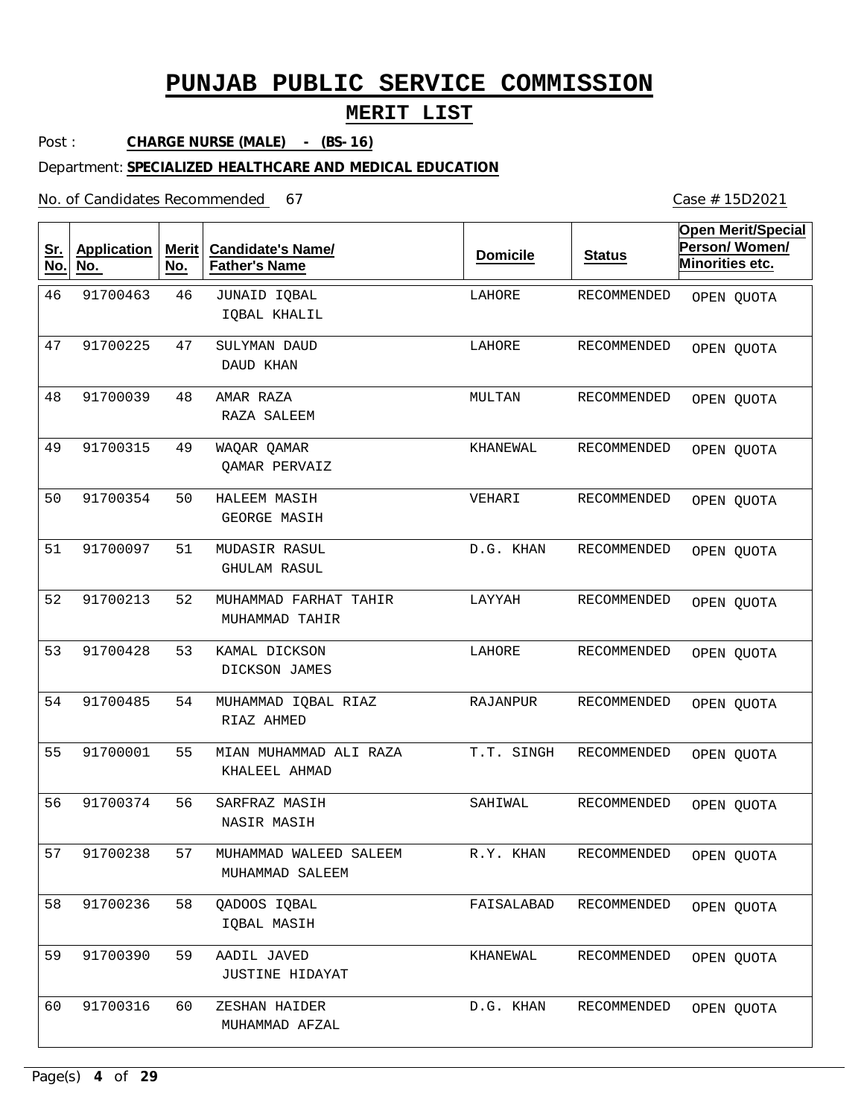## **MERIT LIST**

Post : **CHARGE NURSE (MALE) - (BS-16)**

#### Department: **SPECIALIZED HEALTHCARE AND MEDICAL EDUCATION**

No. of Candidates Recommended

| <u>Sr.</u><br>No. | <b>Application</b><br>No. | Merit<br>No. | <b>Candidate's Name/</b><br><b>Father's Name</b> | <b>Domicile</b> | <b>Status</b> | <b>Open Merit/Special</b><br>Person/Women/<br>Minorities etc. |
|-------------------|---------------------------|--------------|--------------------------------------------------|-----------------|---------------|---------------------------------------------------------------|
| 46                | 91700463                  | 46           | JUNAID IQBAL<br>IQBAL KHALIL                     | LAHORE          | RECOMMENDED   | OPEN QUOTA                                                    |
| 47                | 91700225                  | 47           | SULYMAN DAUD<br>DAUD KHAN                        | LAHORE          | RECOMMENDED   | OPEN QUOTA                                                    |
| 48                | 91700039                  | 48           | AMAR RAZA<br>RAZA SALEEM                         | MULTAN          | RECOMMENDED   | OPEN QUOTA                                                    |
| 49                | 91700315                  | 49           | WAQAR QAMAR<br><b>QAMAR PERVAIZ</b>              | KHANEWAL        | RECOMMENDED   | OPEN QUOTA                                                    |
| 50                | 91700354                  | 50           | HALEEM MASIH<br>GEORGE MASIH                     | VEHARI          | RECOMMENDED   | OPEN QUOTA                                                    |
| 51                | 91700097                  | 51           | MUDASIR RASUL<br>GHULAM RASUL                    | D.G. KHAN       | RECOMMENDED   | OPEN QUOTA                                                    |
| 52                | 91700213                  | 52           | MUHAMMAD FARHAT TAHIR<br>MUHAMMAD TAHIR          | LAYYAH          | RECOMMENDED   | OPEN QUOTA                                                    |
| 53                | 91700428                  | 53           | KAMAL DICKSON<br>DICKSON JAMES                   | LAHORE          | RECOMMENDED   | OPEN QUOTA                                                    |
| 54                | 91700485                  | 54           | MUHAMMAD IQBAL RIAZ<br>RIAZ AHMED                | RAJANPUR        | RECOMMENDED   | OPEN QUOTA                                                    |
| 55                | 91700001                  | 55           | MIAN MUHAMMAD ALI RAZA<br>KHALEEL AHMAD          | T.T. SINGH      | RECOMMENDED   | OPEN QUOTA                                                    |
| 56                | 91700374                  | 56           | SARFRAZ MASIH<br>NASIR MASIH                     | SAHIWAL         | RECOMMENDED   | OPEN QUOTA                                                    |
| 57                | 91700238                  | 57           | MUHAMMAD WALEED SALEEM<br>MUHAMMAD SALEEM        | R.Y. KHAN       | RECOMMENDED   | OPEN QUOTA                                                    |
| 58                | 91700236                  | 58           | QADOOS IQBAL<br>IOBAL MASIH                      | FAISALABAD      | RECOMMENDED   | OPEN QUOTA                                                    |
| 59                | 91700390                  | 59           | AADIL JAVED<br>JUSTINE HIDAYAT                   | KHANEWAL        | RECOMMENDED   | OPEN QUOTA                                                    |
| 60                | 91700316                  | 60           | ZESHAN HAIDER<br>MUHAMMAD AFZAL                  | D.G. KHAN       | RECOMMENDED   | OPEN QUOTA                                                    |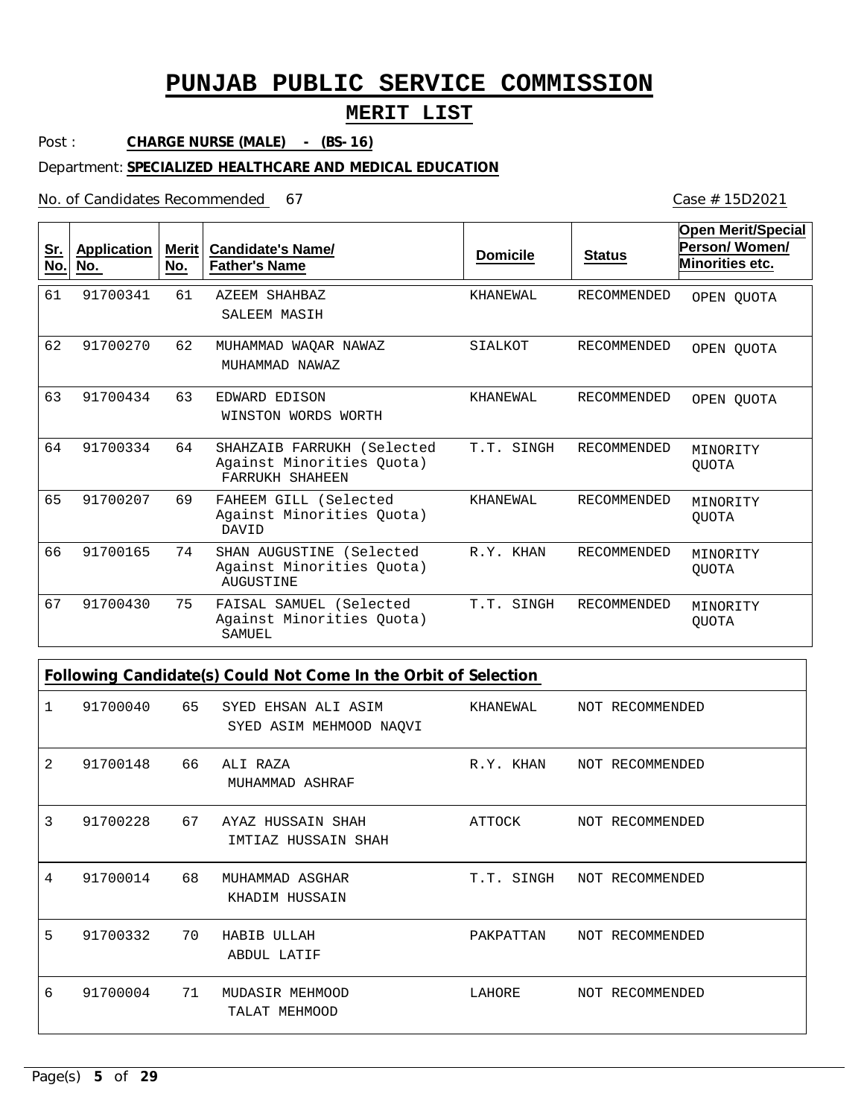## **MERIT LIST**

Post : **CHARGE NURSE (MALE) - (BS-16)**

#### Department: **SPECIALIZED HEALTHCARE AND MEDICAL EDUCATION**

No. of Candidates Recommended

| <u>Sr.</u><br>No. | <b>Application</b><br>No. | Merit  <br>No. | <b>Candidate's Name/</b><br><b>Father's Name</b>                           | <b>Domicile</b> | <b>Status</b>      | <b>Open Merit/Special</b><br>Person/Women/<br><b>Minorities etc.</b> |
|-------------------|---------------------------|----------------|----------------------------------------------------------------------------|-----------------|--------------------|----------------------------------------------------------------------|
| 61                | 91700341                  | 61             | AZEEM SHAHBAZ<br>SALEEM MASIH                                              | KHANEWAL        | <b>RECOMMENDED</b> | OPEN QUOTA                                                           |
| 62                | 91700270                  | 62             | WAOAR NAWAZ<br>MUHAMMAD<br>MUHAMMAD NAWAZ                                  | SIALKOT         | <b>RECOMMENDED</b> | OPEN QUOTA                                                           |
| 63                | 91700434                  | 63             | EDWARD EDISON<br>WINSTON WORDS WORTH                                       | KHANEWAL        | RECOMMENDED        | OPEN QUOTA                                                           |
| 64                | 91700334                  | 64             | SHAHZAIB FARRUKH (Selected<br>Against Minorities Ouota)<br>FARRUKH SHAHEEN | T.T. SINGH      | RECOMMENDED        | MINORITY<br><b>OUOTA</b>                                             |
| 65                | 91700207                  | 69             | FAHEEM GILL (Selected<br>Against Minorities Quota)<br>DAVID                | KHANEWAL        | <b>RECOMMENDED</b> | MINORITY<br><b>OUOTA</b>                                             |
| 66                | 91700165                  | 74             | SHAN AUGUSTINE (Selected<br>Against Minorities Quota)<br>AUGUSTINE         | R.Y. KHAN       | <b>RECOMMENDED</b> | MINORITY<br><b>OUOTA</b>                                             |
| 67                | 91700430                  | 75             | FAISAL SAMUEL (Selected<br>Against Minorities Quota)<br>SAMUEL             | T.T. SINGH      | RECOMMENDED        | MINORITY<br><b>OUOTA</b>                                             |

**Following Candidate(s) Could Not Come In the Orbit of Selection**

| 1 | 91700040 | 65 | SYED EHSAN ALI ASIM<br>SYED ASIM MEHMOOD NAQVI | KHANEWAL   | NOT RECOMMENDED |
|---|----------|----|------------------------------------------------|------------|-----------------|
| 2 | 91700148 | 66 | ALI RAZA<br>MUHAMMAD ASHRAF                    | R.Y. KHAN  | NOT RECOMMENDED |
| 3 | 91700228 | 67 | AYAZ HUSSAIN SHAH<br>IMTIAZ HUSSAIN SHAH       | ATTOCK     | NOT RECOMMENDED |
| 4 | 91700014 | 68 | MUHAMMAD ASGHAR<br>KHADIM HUSSAIN              | T.T. SINGH | NOT RECOMMENDED |
| 5 | 91700332 | 70 | HABIB ULLAH<br>ABDUL LATIF                     | PAKPATTAN  | NOT RECOMMENDED |
| 6 | 91700004 | 71 | MUDASIR MEHMOOD<br>TALAT MEHMOOD               | LAHORE     | NOT RECOMMENDED |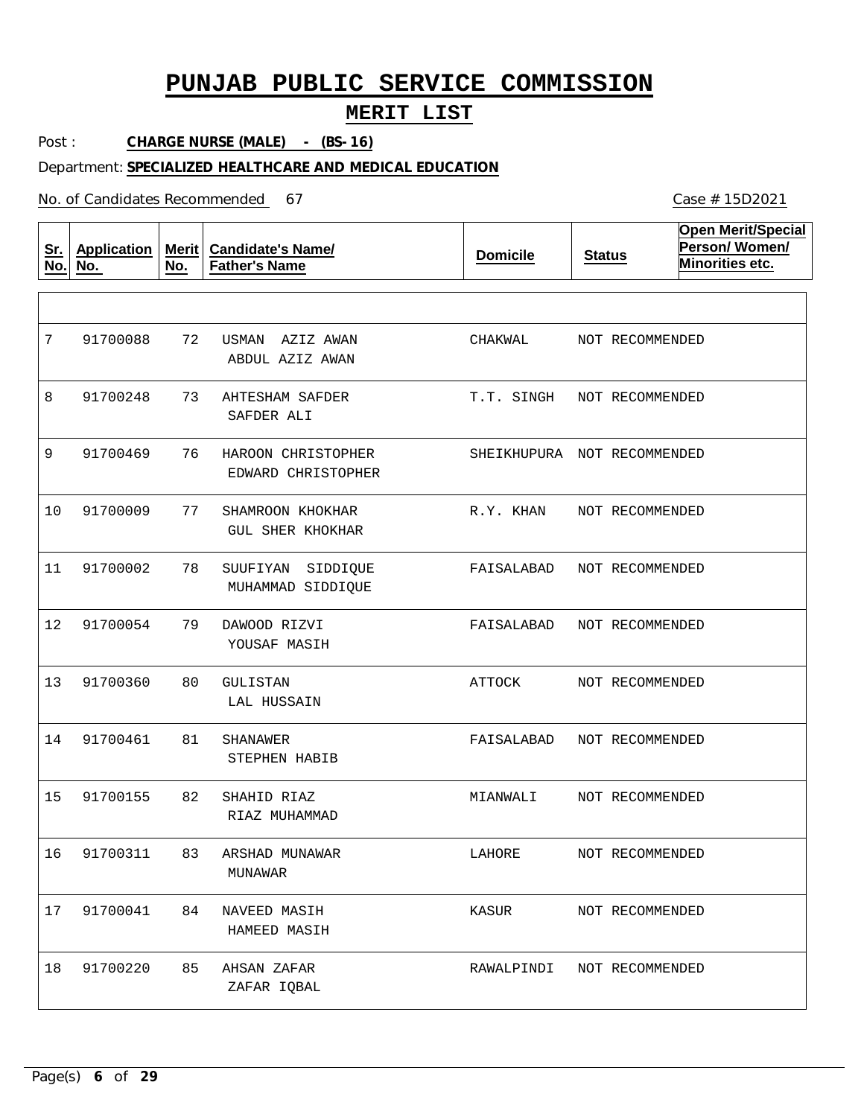## **MERIT LIST**

Post : **CHARGE NURSE (MALE) - (BS-16)**

#### Department: **SPECIALIZED HEALTHCARE AND MEDICAL EDUCATION**

No. of Candidates Recommended

| <u>Sr.</u><br>No. | <b>Application</b><br>No. | Merit $ $<br>No. | <b>Candidate's Name/</b><br><b>Father's Name</b> | <b>Domicile</b>             | <b>Status</b>   | <b>Open Merit/Special</b><br>Person/Women/<br>Minorities etc. |
|-------------------|---------------------------|------------------|--------------------------------------------------|-----------------------------|-----------------|---------------------------------------------------------------|
|                   |                           |                  |                                                  |                             |                 |                                                               |
| 7                 | 91700088                  | 72               | USMAN<br>AZIZ AWAN<br>ABDUL AZIZ AWAN            | CHAKWAL                     | NOT RECOMMENDED |                                                               |
| 8                 | 91700248                  | 73               | AHTESHAM SAFDER<br>SAFDER ALI                    | T.T. SINGH                  | NOT RECOMMENDED |                                                               |
| 9                 | 91700469                  | 76               | HAROON CHRISTOPHER<br>EDWARD CHRISTOPHER         | SHEIKHUPURA NOT RECOMMENDED |                 |                                                               |
| 10                | 91700009                  | 77               | SHAMROON KHOKHAR<br><b>GUL SHER KHOKHAR</b>      | R.Y. KHAN                   | NOT RECOMMENDED |                                                               |
| 11                | 91700002                  | 78               | SUUFIYAN<br>SIDDIOUE<br>MUHAMMAD SIDDIQUE        | FAISALABAD                  | NOT RECOMMENDED |                                                               |
| 12                | 91700054                  | 79               | DAWOOD RIZVI<br>YOUSAF MASIH                     | FAISALABAD                  | NOT RECOMMENDED |                                                               |
| 13                | 91700360                  | 80               | <b>GULISTAN</b><br>LAL HUSSAIN                   | ATTOCK                      | NOT RECOMMENDED |                                                               |
| 14                | 91700461                  | 81               | SHANAWER<br>STEPHEN HABIB                        | FAISALABAD                  | NOT RECOMMENDED |                                                               |
| 15                | 91700155                  | 82               | SHAHID RIAZ<br>RIAZ MUHAMMAD                     | MIANWALI                    | NOT RECOMMENDED |                                                               |
| 16                | 91700311                  | 83               | ARSHAD MUNAWAR<br>MUNAWAR                        | LAHORE                      | NOT RECOMMENDED |                                                               |
| 17                | 91700041                  | 84               | NAVEED MASIH<br>HAMEED MASIH                     | KASUR                       | NOT RECOMMENDED |                                                               |
| 18                | 91700220                  | 85               | AHSAN ZAFAR<br>ZAFAR IQBAL                       | RAWALPINDI                  | NOT RECOMMENDED |                                                               |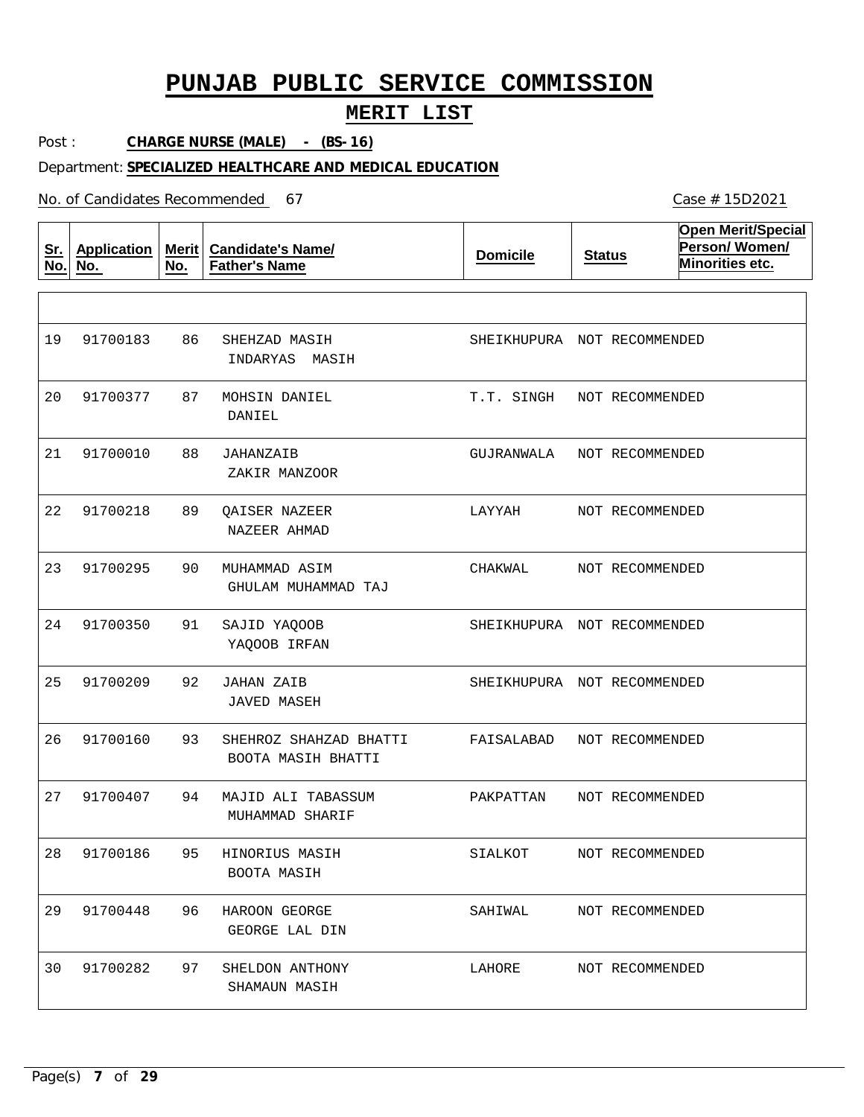## **MERIT LIST**

Post : **CHARGE NURSE (MALE) - (BS-16)**

Department: **SPECIALIZED HEALTHCARE AND MEDICAL EDUCATION**

No. of Candidates Recommended

**Sr. No. Application No. Merit No. Candidate's Name/ Father's Name Domicile Status Open Merit/Special Person/ Women/ Minorities etc.** 86 87 MOHSIN DANIEL 88 89 90 91 92 JAHAN ZAIB 93 94 95 96 97 SHEHZAD MASIH JAHANZAIB QAISER NAZEER MUHAMMAD ASIM SAJID YAQOOB SHEHROZ SHAHZAD BHATTI MAJID ALI TABASSUM HINORIUS MASIH HAROON GEORGE SHELDON ANTHONY INDARYAS MASIH DANIEL ZAKIR MANZOOR NAZEER AHMAD GHULAM MUHAMMAD TAJ YAQOOB IRFAN JAVED MASEH BOOTA MASIH BHATTI MUHAMMAD SHARIF BOOTA MASIH GEORGE LAL DIN SHAMAUN MASIH 19 20 91700377 21 22 91700218 23 91700295 24 25 26 27 28 91700186 29 91700448 30 91700183 91700010 91700350 91700209 91700160 91700407 91700282 SHEIKHUPURA NOT RECOMMENDED T.T. SINGH NOT RECOMMENDED GUJRANWALA LAYYAH CHAKWAL SHEIKHUPURA NOT RECOMMENDED SHEIKHUPURA NOT RECOMMENDED FAISALABAD PAKPATTAN SIALKOT SAHIWAL LAHORE NOT RECOMMENDED NOT RECOMMENDED NOT RECOMMENDED NOT RECOMMENDED NOT RECOMMENDED NOT RECOMMENDED NOT RECOMMENDED NOT RECOMMENDED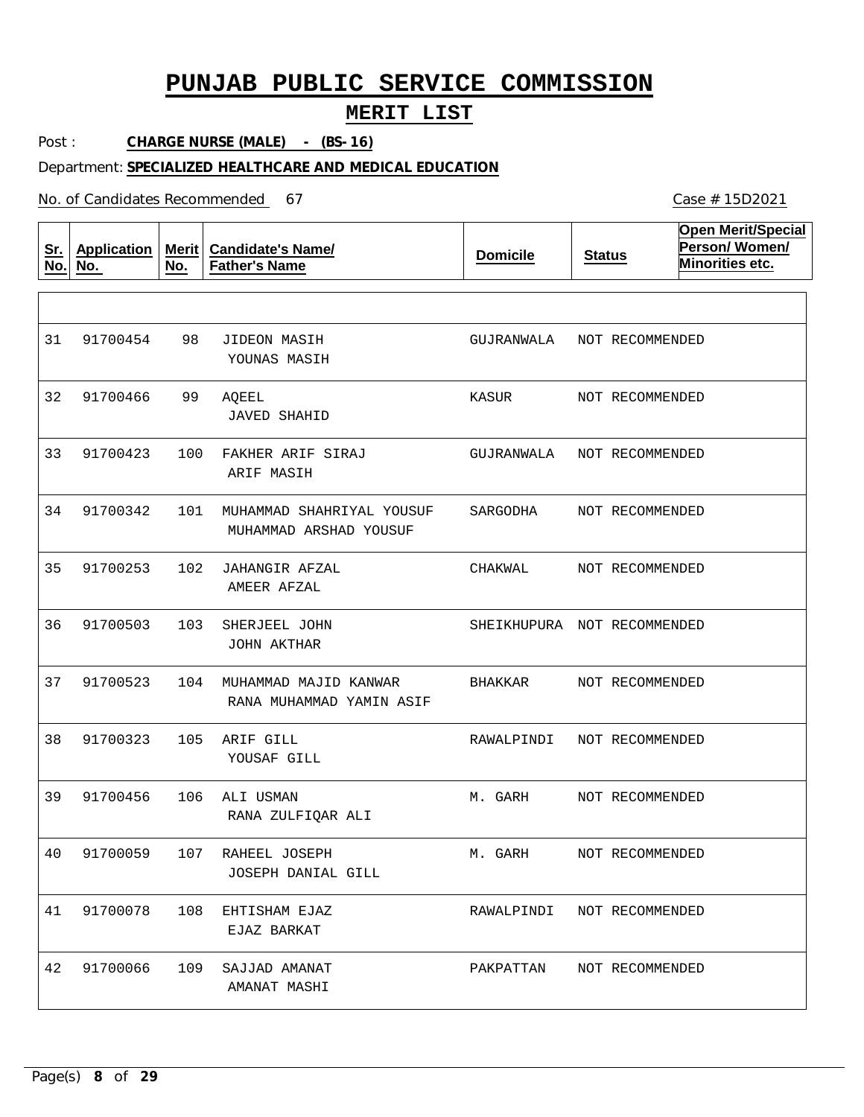## **MERIT LIST**

Post : **CHARGE NURSE (MALE) - (BS-16)**

### Department: **SPECIALIZED HEALTHCARE AND MEDICAL EDUCATION**

No. of Candidates Recommended

| <u>Sr.</u><br>No. | <b>Application</b><br>No. | <b>Merit</b><br>No. | <b>Candidate's Name/</b><br><b>Father's Name</b>    | <b>Domicile</b>             | <b>Status</b>   | <b>Open Merit/Special</b><br>Person/Women/<br>Minorities etc. |
|-------------------|---------------------------|---------------------|-----------------------------------------------------|-----------------------------|-----------------|---------------------------------------------------------------|
|                   |                           |                     |                                                     |                             |                 |                                                               |
| 31                | 91700454                  | 98                  | <b>JIDEON MASIH</b><br>YOUNAS MASIH                 | GUJRANWALA                  | NOT RECOMMENDED |                                                               |
| 32                | 91700466                  | 99                  | AQEEL<br><b>JAVED SHAHID</b>                        | KASUR                       | NOT RECOMMENDED |                                                               |
| 33                | 91700423                  | 100                 | FAKHER ARIF SIRAJ<br>ARIF MASIH                     | GUJRANWALA                  | NOT RECOMMENDED |                                                               |
| 34                | 91700342                  | 101                 | MUHAMMAD SHAHRIYAL YOUSUF<br>MUHAMMAD ARSHAD YOUSUF | SARGODHA                    | NOT RECOMMENDED |                                                               |
| 35                | 91700253                  | 102                 | JAHANGIR AFZAL<br>AMEER AFZAL                       | CHAKWAL                     | NOT RECOMMENDED |                                                               |
| 36                | 91700503                  | 103                 | SHERJEEL JOHN<br><b>JOHN AKTHAR</b>                 | SHEIKHUPURA NOT RECOMMENDED |                 |                                                               |
| 37                | 91700523                  | 104                 | MUHAMMAD MAJID KANWAR<br>RANA MUHAMMAD YAMIN ASIF   | BHAKKAR                     | NOT RECOMMENDED |                                                               |
| 38                | 91700323                  | 105                 | ARIF GILL<br>YOUSAF GILL                            | RAWALPINDI                  | NOT RECOMMENDED |                                                               |
| 39                | 91700456                  | 106                 | ALI USMAN<br>RANA ZULFIQAR ALI                      | M. GARH                     | NOT RECOMMENDED |                                                               |
| 40                | 91700059                  | 107                 | RAHEEL JOSEPH<br>JOSEPH DANIAL GILL                 | M. GARH                     | NOT RECOMMENDED |                                                               |
| 41                | 91700078                  | 108                 | EHTISHAM EJAZ<br>EJAZ BARKAT                        | RAWALPINDI                  | NOT RECOMMENDED |                                                               |
| 42                | 91700066                  | 109                 | SAJJAD AMANAT<br>AMANAT MASHI                       | PAKPATTAN                   | NOT RECOMMENDED |                                                               |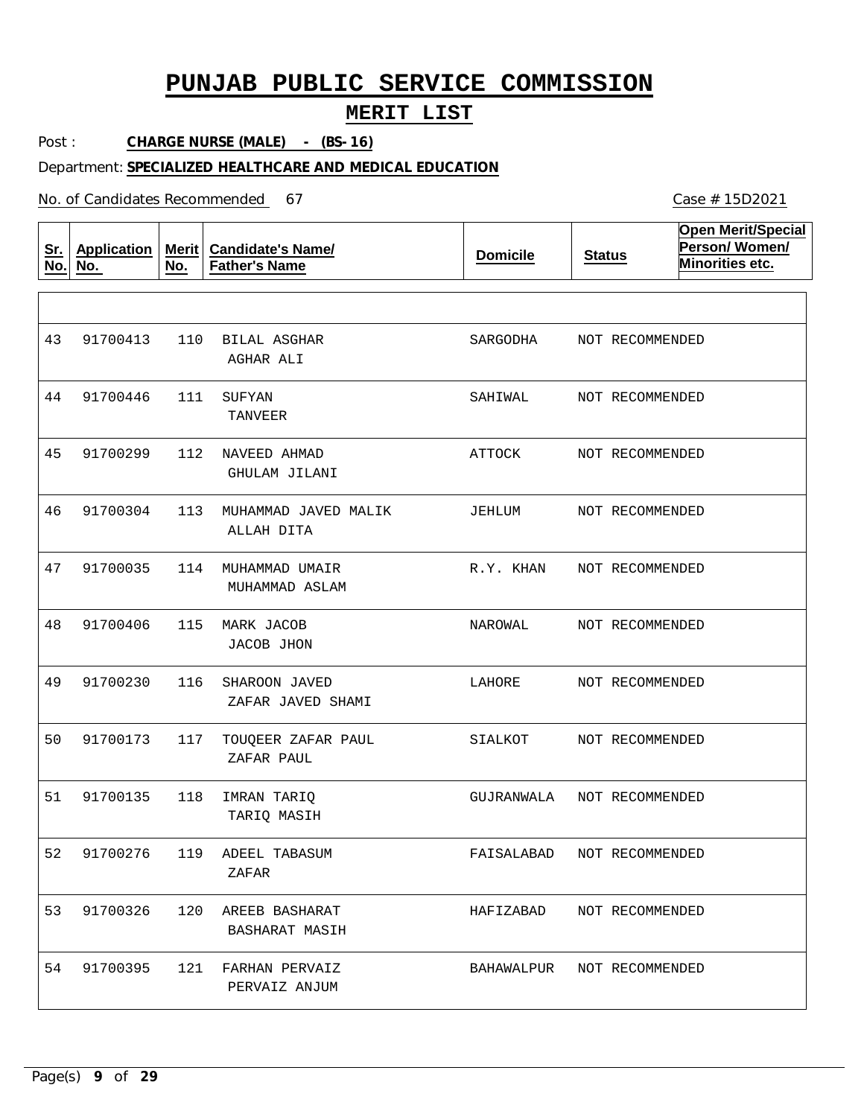## **MERIT LIST**

Post : **CHARGE NURSE (MALE) - (BS-16)**

#### Department: **SPECIALIZED HEALTHCARE AND MEDICAL EDUCATION**

No. of Candidates Recommended

**Sr. No. Application No. Merit No. Candidate's Name/ Father's Name Domicile Status Open Merit/Special Person/ Women/ Minorities etc.** 110 BILAL ASGHAR 111 SUFYAN 112 NAVEED AHMAD 113 MUHAMMAD JAVED MALIK 114 MUHAMMAD UMAIR 115 MARK JACOB 116 SHAROON JAVED 117 TOUQEER ZAFAR PAUL 118 IMRAN TARIQ 119 ADEEL TABASUM 120 AREEB BASHARAT 53 91700326 121 FARHAN PERVAIZ AGHAR ALI TANVEER GHULAM JILANI ALLAH DITA MUHAMMAD ASLAM JACOB JHON ZAFAR JAVED SHAMI ZAFAR PAUL TARIQ MASIH ZAFAR BASHARAT MASIH PERVAIZ ANJUM 43 91700413 44 91700446 45 46 47 48 49 50 51 52 91700276 54 91700299 91700304 91700035 91700406 91700230 91700173 91700135 91700395 SARGODHA SAHIWAL ATTOCK JEHLUM R.Y. KHAN NAROWAL LAHORE SIALKOT GUJRANWALA FAISALABAD HAFIZABAD BAHAWALPUR NOT RECOMMENDED NOT RECOMMENDED NOT RECOMMENDED NOT RECOMMENDED NOT RECOMMENDED NOT RECOMMENDED NOT RECOMMENDED NOT RECOMMENDED NOT RECOMMENDED NOT RECOMMENDED NOT RECOMMENDED NOT RECOMMENDED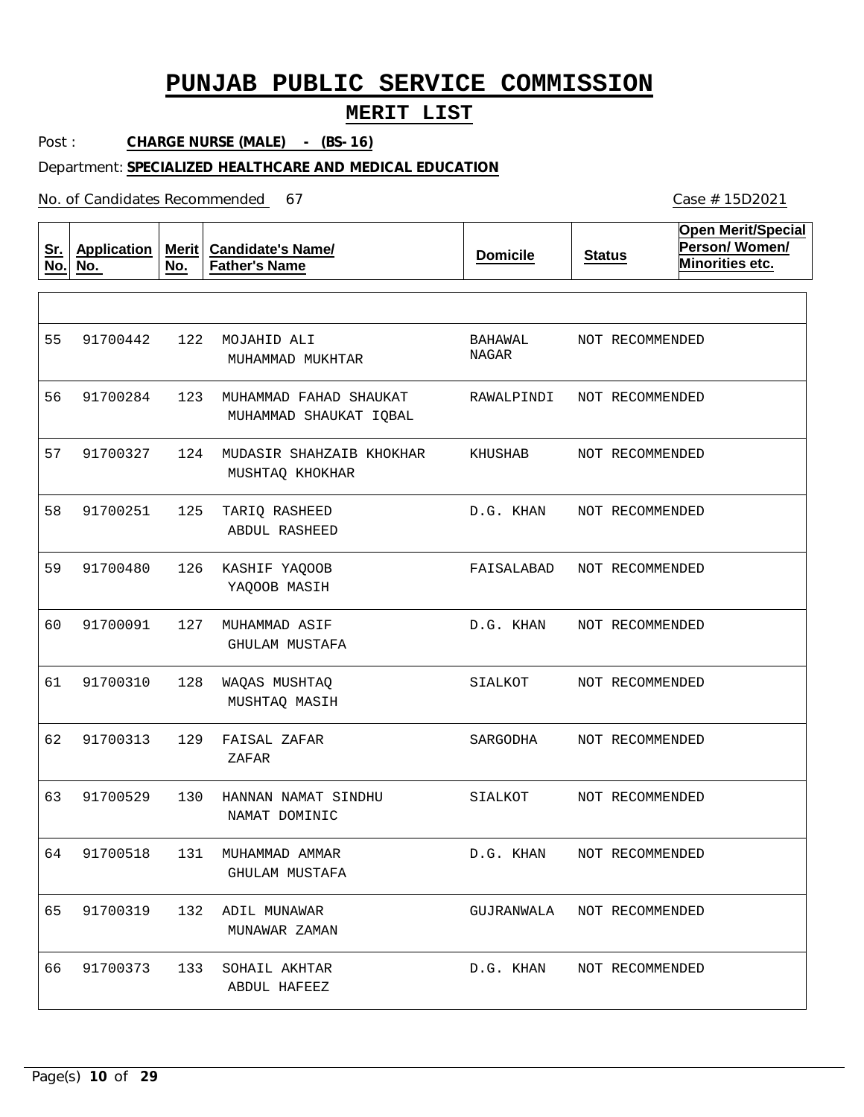## **MERIT LIST**

Post : **CHARGE NURSE (MALE) - (BS-16)**

Department: **SPECIALIZED HEALTHCARE AND MEDICAL EDUCATION**

No. of Candidates Recommended

| <u>Sr.</u><br>No. | <b>Application</b><br>No. | Merit  <br>No. | <b>Candidate's Name/</b><br><b>Father's Name</b> | <b>Domicile</b>  | <b>Status</b>   | <b>Open Merit/Special</b><br>Person/Women/<br>Minorities etc. |
|-------------------|---------------------------|----------------|--------------------------------------------------|------------------|-----------------|---------------------------------------------------------------|
|                   |                           |                |                                                  |                  |                 |                                                               |
| 55                | 91700442                  | 122            | MOJAHID ALI<br>MUHAMMAD MUKHTAR                  | BAHAWAL<br>NAGAR | NOT RECOMMENDED |                                                               |
| 56                | 91700284                  | 123            | MUHAMMAD FAHAD SHAUKAT<br>MUHAMMAD SHAUKAT IQBAL | RAWALPINDI       | NOT RECOMMENDED |                                                               |
| 57                | 91700327                  | 124            | MUDASIR SHAHZAIB KHOKHAR<br>MUSHTAQ KHOKHAR      | KHUSHAB          | NOT RECOMMENDED |                                                               |
| 58                | 91700251                  | 125            | TARIQ RASHEED<br><b>ABDUL RASHEED</b>            | D.G. KHAN        | NOT RECOMMENDED |                                                               |
| 59                | 91700480                  | 126            | KASHIF YAQOOB<br>YAQOOB MASIH                    | FAISALABAD       | NOT RECOMMENDED |                                                               |
| 60                | 91700091                  | 127            | MUHAMMAD ASIF<br>GHULAM MUSTAFA                  | D.G. KHAN        | NOT RECOMMENDED |                                                               |
| 61                | 91700310                  | 128            | WAQAS MUSHTAQ<br>MUSHTAQ MASIH                   | SIALKOT          | NOT RECOMMENDED |                                                               |
| 62                | 91700313                  | 129            | FAISAL ZAFAR<br>ZAFAR                            | SARGODHA         | NOT RECOMMENDED |                                                               |
| 63                | 91700529                  | 130            | HANNAN NAMAT SINDHU<br>NAMAT DOMINIC             | SIALKOT          | NOT RECOMMENDED |                                                               |
| 64                | 91700518                  | 131            | MUHAMMAD AMMAR<br><b>GHULAM MUSTAFA</b>          | D.G. KHAN        | NOT RECOMMENDED |                                                               |
| 65                | 91700319                  | 132            | ADIL MUNAWAR<br>MUNAWAR ZAMAN                    | GUJRANWALA       | NOT RECOMMENDED |                                                               |
| 66                | 91700373                  | 133            | SOHAIL AKHTAR<br>ABDUL HAFEEZ                    | D.G. KHAN        | NOT RECOMMENDED |                                                               |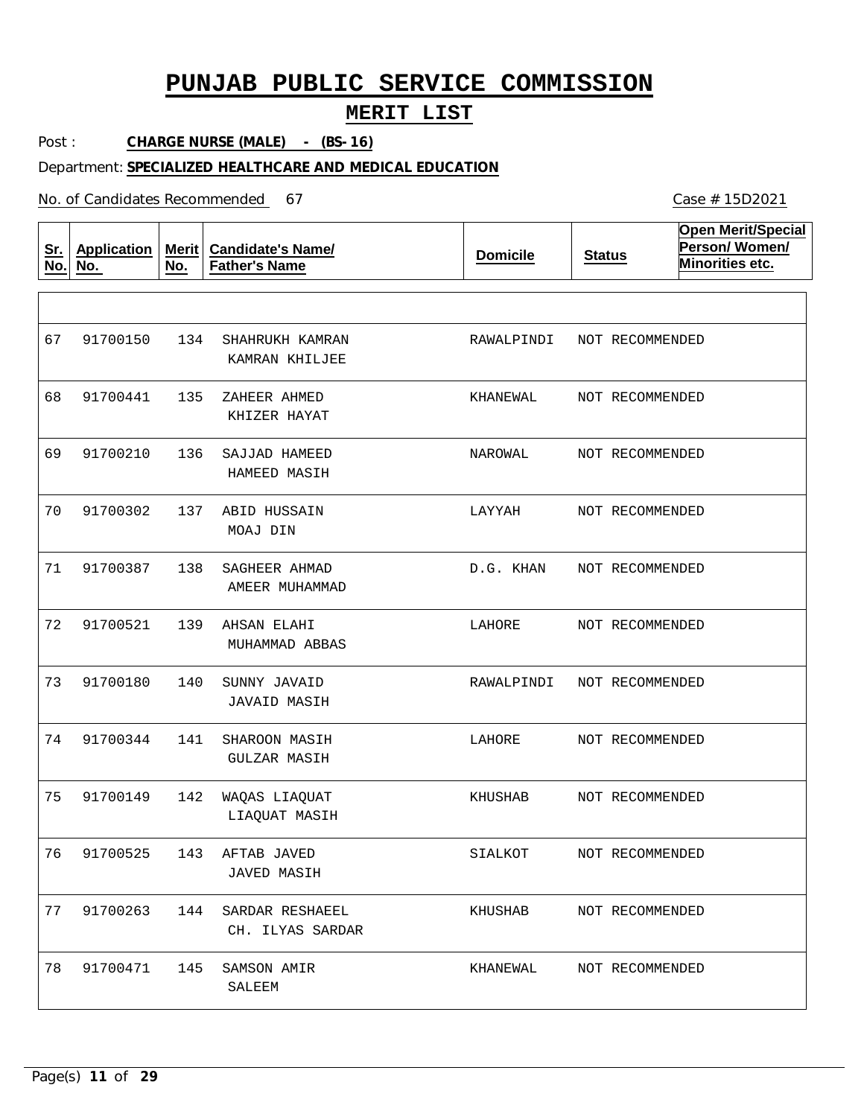## **MERIT LIST**

Post : **CHARGE NURSE (MALE) - (BS-16)**

#### Department: **SPECIALIZED HEALTHCARE AND MEDICAL EDUCATION**

No. of Candidates Recommended

**Sr. No. Application No. Merit No. Candidate's Name/ Father's Name Domicile Status Open Merit/Special Person/ Women/ Minorities etc.** 134 SHAHRUKH KAMRAN 135 ZAHEER AHMED 136 137 ABID HUSSAIN 138 139 140 SUNNY JAVAID 141 142 WAQAS LIAQUAT 143 AFTAB JAVED 144 SARDAR RESHAEEL 77 91700263 145 SAMSON AMIR SAJJAD HAMEED SAGHEER AHMAD AHSAN ELAHI SHAROON MASIH KAMRAN KHILJEE KHIZER HAYAT HAMEED MASIH MOAJ DIN AMEER MUHAMMAD MUHAMMAD ABBAS JAVAID MASIH GULZAR MASIH LIAQUAT MASIH JAVED MASIH CH. ILYAS SARDAR SALEEM 67 68 91700441 69 70 71 72 73 91700180 74 75 76 78 91700150 91700210 91700302 91700387 91700521 91700344 91700149 91700525 91700471 RAWALPINDI KHANEWAL NAROWAL LAYYAH D.G. KHAN LAHORE RAWALPINDI LAHORE KHUSHAB SIALKOT KHUSHAB KHANEWAL NOT RECOMMENDED NOT RECOMMENDED NOT RECOMMENDED NOT RECOMMENDED NOT RECOMMENDED NOT RECOMMENDED NOT RECOMMENDED NOT RECOMMENDED NOT RECOMMENDED NOT RECOMMENDED NOT RECOMMENDED NOT RECOMMENDED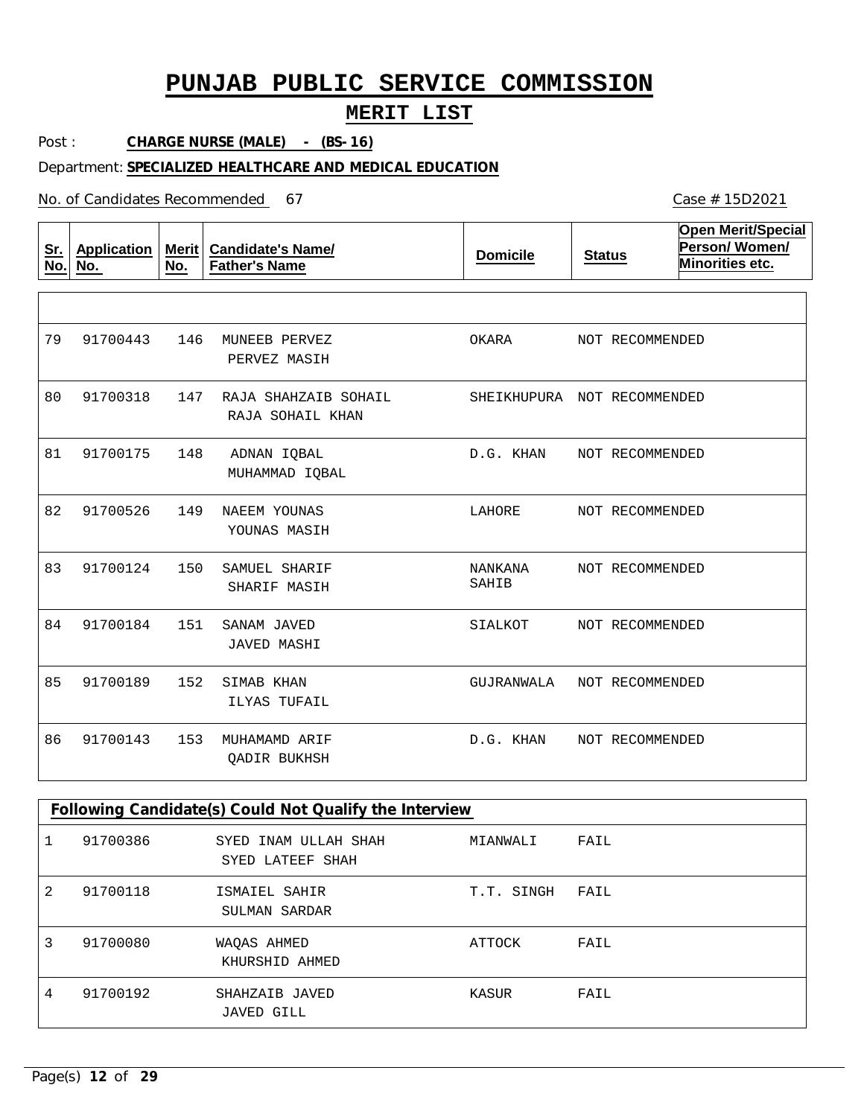## **MERIT LIST**

Post : **CHARGE NURSE (MALE) - (BS-16)**

### Department: **SPECIALIZED HEALTHCARE AND MEDICAL EDUCATION**

No. of Candidates Recommended

| <u>Sr.</u><br>No. | <b>Application</b><br>No. | <b>Merit</b><br>No. | <b>Candidate's Name/</b><br><b>Father's Name</b> | <b>Domicile</b>         | <b>Status</b>               | <b>Open Merit/Special</b><br>Person/Women/<br>Minorities etc. |
|-------------------|---------------------------|---------------------|--------------------------------------------------|-------------------------|-----------------------------|---------------------------------------------------------------|
|                   |                           |                     |                                                  |                         |                             |                                                               |
| 79                | 91700443                  | 146                 | MUNEEB PERVEZ<br>PERVEZ MASIH                    | OKARA                   | NOT RECOMMENDED             |                                                               |
| 80                | 91700318                  | 147                 | RAJA SHAHZAIB SOHAIL<br>RAJA SOHAIL KHAN         |                         | SHEIKHUPURA NOT RECOMMENDED |                                                               |
| 81                | 91700175                  | 148                 | ADNAN IQBAL<br>MUHAMMAD IQBAL                    | D.G. KHAN               | NOT RECOMMENDED             |                                                               |
| 82                | 91700526                  | 149                 | NAEEM YOUNAS<br>YOUNAS MASIH                     | LAHORE                  | NOT RECOMMENDED             |                                                               |
| 83                | 91700124                  | 150                 | SAMUEL SHARIF<br>SHARIF MASIH                    | <b>NANKANA</b><br>SAHIB | NOT RECOMMENDED             |                                                               |
| 84                | 91700184                  | 151                 | SANAM JAVED<br><b>JAVED MASHI</b>                | SIALKOT                 | NOT RECOMMENDED             |                                                               |
| 85                | 91700189                  | 152                 | SIMAB KHAN<br>ILYAS TUFAIL                       | GUJRANWALA              | NOT RECOMMENDED             |                                                               |
| 86                | 91700143                  | 153                 | MUHAMAMD ARIF<br>QADIR BUKHSH                    | D.G. KHAN               | NOT RECOMMENDED             |                                                               |

|   | Following Candidate(s) Could Not Qualify the Interview |                                          |            |      |  |  |  |
|---|--------------------------------------------------------|------------------------------------------|------------|------|--|--|--|
|   | 91700386                                               | SYED INAM ULLAH SHAH<br>SYED LATEEF SHAH | MIANWALI   | FAIL |  |  |  |
| 2 | 91700118                                               | ISMAIEL SAHIR<br>SULMAN SARDAR           | T.T. SINGH | FAIL |  |  |  |
| 3 | 91700080                                               | WAOAS AHMED<br>KHURSHID AHMED            | ATTOCK     | FAIL |  |  |  |
| 4 | 91700192                                               | SHAHZAIB JAVED<br>JAVED GILL             | KASUR      | FAIL |  |  |  |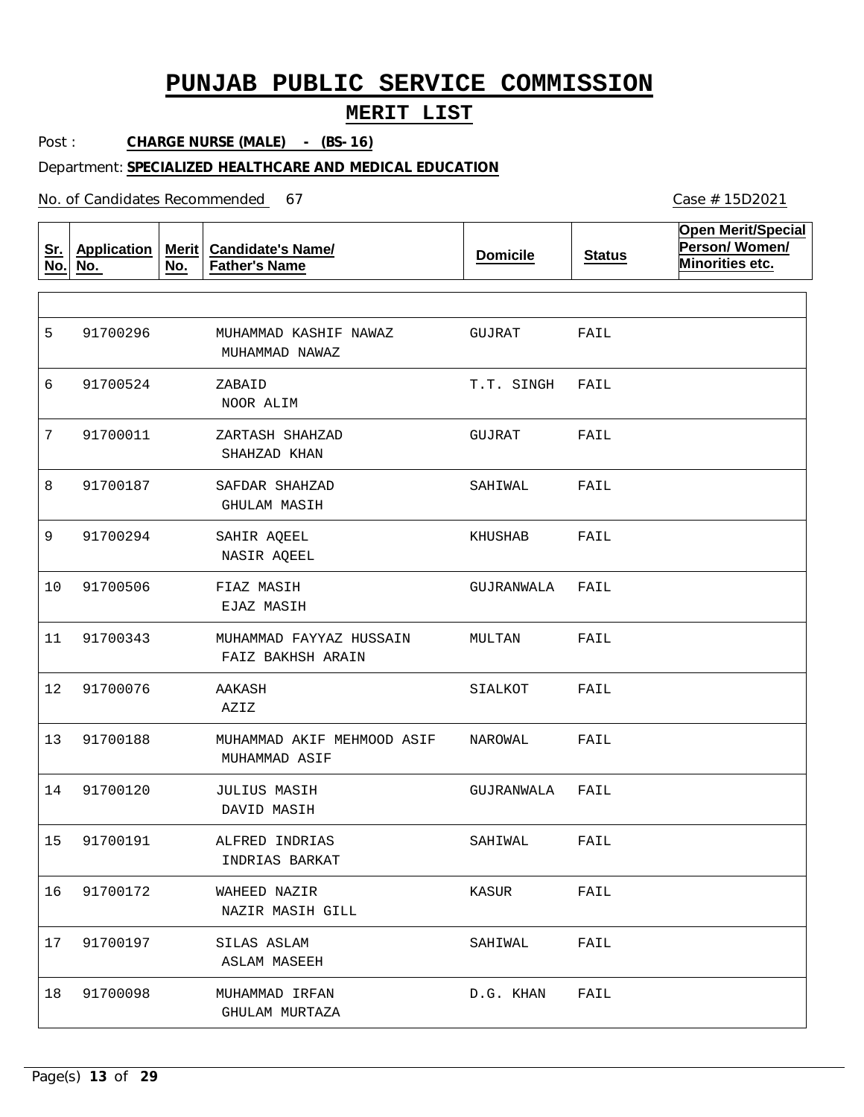## **MERIT LIST**

Post : **CHARGE NURSE (MALE) - (BS-16)**

#### Department: **SPECIALIZED HEALTHCARE AND MEDICAL EDUCATION**

No. of Candidates Recommended

| Sr.<br>No. | <b>Application</b><br>No. | Merit<br>No. | <b>Candidate's Name/</b><br><b>Father's Name</b> | <b>Domicile</b> | <b>Status</b> | <b>Open Merit/Special</b><br>Person/Women/<br>Minorities etc. |
|------------|---------------------------|--------------|--------------------------------------------------|-----------------|---------------|---------------------------------------------------------------|
|            |                           |              |                                                  |                 |               |                                                               |
| 5          | 91700296                  |              | MUHAMMAD KASHIF NAWAZ<br>MUHAMMAD NAWAZ          | GUJRAT          | FAIL          |                                                               |
| 6          | 91700524                  |              | ZABAID<br>NOOR ALIM                              | T.T. SINGH      | FAIL          |                                                               |
| 7          | 91700011                  |              | ZARTASH SHAHZAD<br>SHAHZAD KHAN                  | GUJRAT          | FAIL          |                                                               |
| 8          | 91700187                  |              | SAFDAR SHAHZAD<br>GHULAM MASIH                   | SAHIWAL         | FAIL          |                                                               |
| 9          | 91700294                  |              | SAHIR AQEEL<br>NASIR AQEEL                       | KHUSHAB         | FAIL          |                                                               |
| 10         | 91700506                  |              | FIAZ MASIH<br>EJAZ MASIH                         | GUJRANWALA      | FAIL          |                                                               |
| 11         | 91700343                  |              | MUHAMMAD FAYYAZ HUSSAIN<br>FAIZ BAKHSH ARAIN     | MULTAN          | FAIL          |                                                               |
| 12         | 91700076                  |              | AAKASH<br>AZIZ                                   | SIALKOT         | FAIL          |                                                               |
| 13         | 91700188                  |              | MUHAMMAD AKIF MEHMOOD ASIF<br>MUHAMMAD ASIF      | NAROWAL         | FAIL          |                                                               |
| 14         | 91700120                  |              | <b>JULIUS MASIH</b><br>DAVID MASIH               | GUJRANWALA      | FAIL          |                                                               |
| 15         | 91700191                  |              | ALFRED INDRIAS<br>INDRIAS BARKAT                 | SAHIWAL         | FAIL          |                                                               |
| 16         | 91700172                  |              | WAHEED NAZIR<br>NAZIR MASIH GILL                 | KASUR           | FAIL          |                                                               |
| 17         | 91700197                  |              | SILAS ASLAM<br>ASLAM MASEEH                      | SAHIWAL         | FAIL          |                                                               |
| 18         | 91700098                  |              | MUHAMMAD IRFAN<br>GHULAM MURTAZA                 | D.G. KHAN       | FAIL          |                                                               |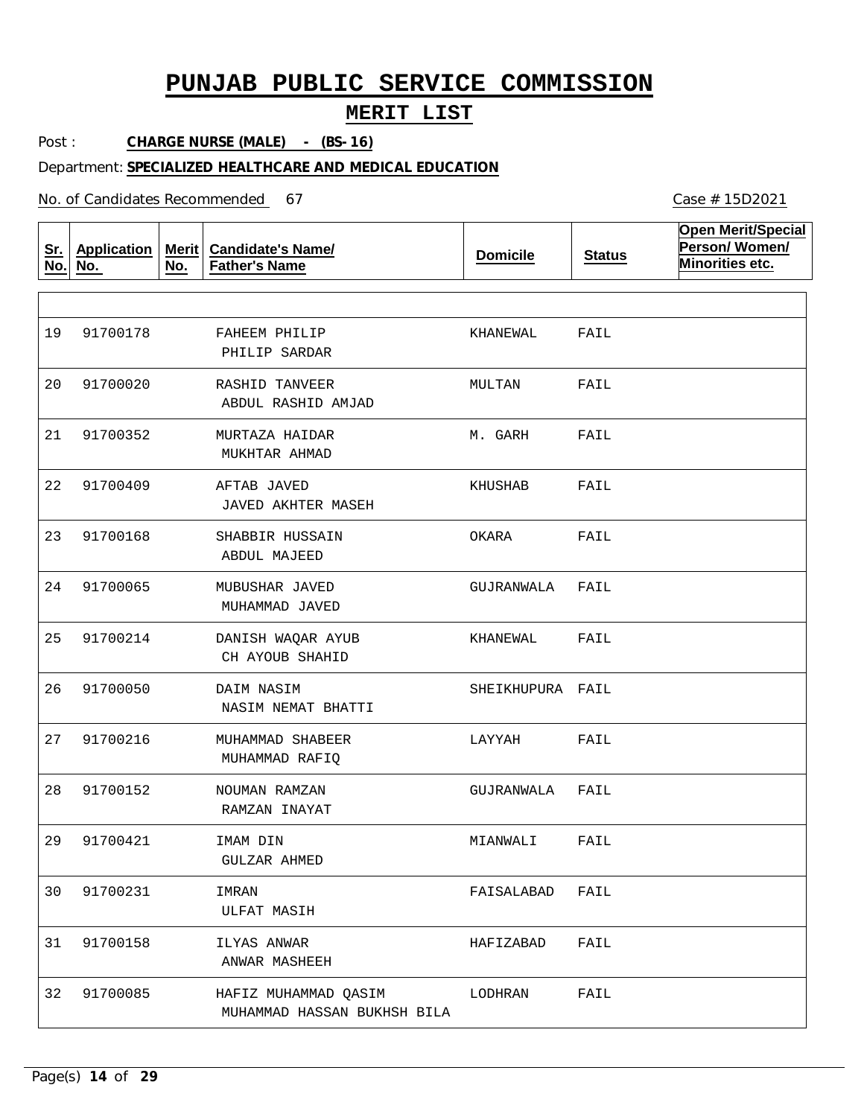## **MERIT LIST**

Post : **CHARGE NURSE (MALE) - (BS-16)**

#### Department: **SPECIALIZED HEALTHCARE AND MEDICAL EDUCATION**

No. of Candidates Recommended

**Sr. No. Application No. Merit No. Candidate's Name/ Father's Name Domicile Status Open Merit/Special Person/ Women/ Minorities etc.** FAHEEM PHILIP RASHID TANVEER MURTAZA HAIDAR AFTAB JAVED SHABBIR HUSSAIN MUBUSHAR JAVED DANISH WAQAR AYUB DAIM NASIM MUHAMMAD SHABEER NOUMAN RAMZAN IMAM DIN IMRAN ILYAS ANWAR HAFIZ MUHAMMAD QASIM PHILIP SARDAR ABDUL RASHID AMJAD MUKHTAR AHMAD JAVED AKHTER MASEH ABDUL MAJEED MUHAMMAD JAVED CH AYOUB SHAHID NASIM NEMAT BHATTI MUHAMMAD RAFIQ RAMZAN INAYAT GULZAR AHMED ULFAT MASIH ANWAR MASHEEH MUHAMMAD HASSAN BUKHSH BILA 19 20 21 22 91700409 23 24 25 91700214 26 27 28 91700152 29 30 31 91700158 32 91700085 91700178 91700020 91700352 91700168 91700065 91700050 91700216 91700421 91700231 KHANEWAL MULTAN M. GARH KHUSHAB OKARA GUJRANWALA KHANEWAL SHEIKHUPURA FAIL LAYYAH GUJRANWALA MIANWALI FAISALABAD HAFIZABAD LODHRAN FAIL FAIL FAIL FAIL FAIL FAIL FAIL FAIL FAIL FAIL FAIL FAIL FAIL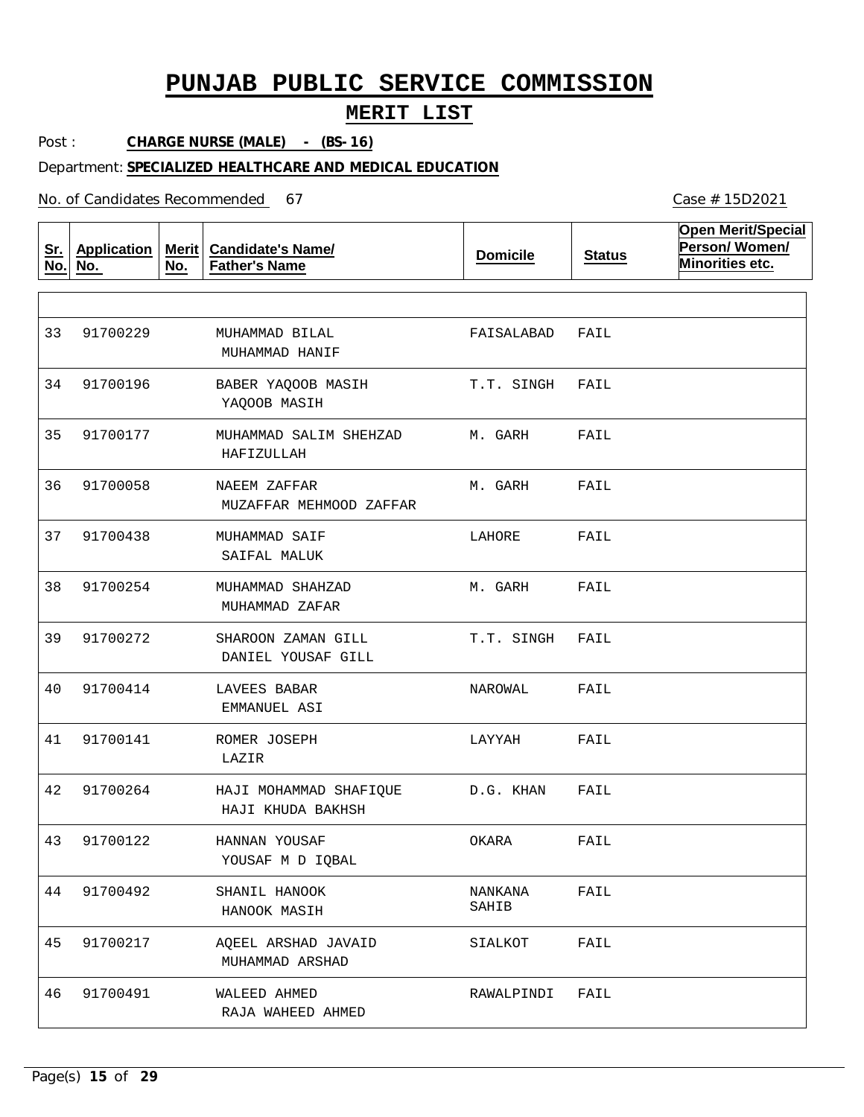## **MERIT LIST**

Post : **CHARGE NURSE (MALE) - (BS-16)**

#### Department: **SPECIALIZED HEALTHCARE AND MEDICAL EDUCATION**

No. of Candidates Recommended

**Sr. No. Application No. Merit No. Candidate's Name/ Father's Name Domicile Status Open Merit/Special Person/ Women/ Minorities etc.** MUHAMMAD BILAL BABER YAQOOB MASIH MUHAMMAD SALIM SHEHZAD NAEEM ZAFFAR MUHAMMAD SAIF MUHAMMAD SHAHZAD SHAROON ZAMAN GILL LAVEES BABAR ROMER JOSEPH HAJI MOHAMMAD SHAFIQUE HANNAN YOUSAF SHANIL HANOOK AQEEL ARSHAD JAVAID WALEED AHMED MUHAMMAD HANIF YAQOOB MASIH HAFIZULLAH MUZAFFAR MEHMOOD ZAFFAR SAIFAL MALUK MUHAMMAD ZAFAR DANIEL YOUSAF GILL EMMANUEL ASI LAZIR HAJI KHUDA BAKHSH YOUSAF M D IQBAL HANOOK MASIH MUHAMMAD ARSHAD RAJA WAHEED AHMED 33 34 35 36 91700058 37 38 39 91700272 40 41 42 91700264 43 91700122 44 45 91700217 46 91700229 91700196 91700177 91700438 91700254 91700414 91700141 91700492 91700491 FAISALABAD T.T. SINGH M. GARH M. GARH LAHORE M. GARH T.T. SINGH NAROWAL LAYYAH D.G. KHAN OKARA NANKANA SAHIB SIALKOT RAWALPINDI FAIL FAIL FAIL FAIL FAIL FAIL FAIL FAIL FAIL FAIL FAIL FAIL FAIL FAIL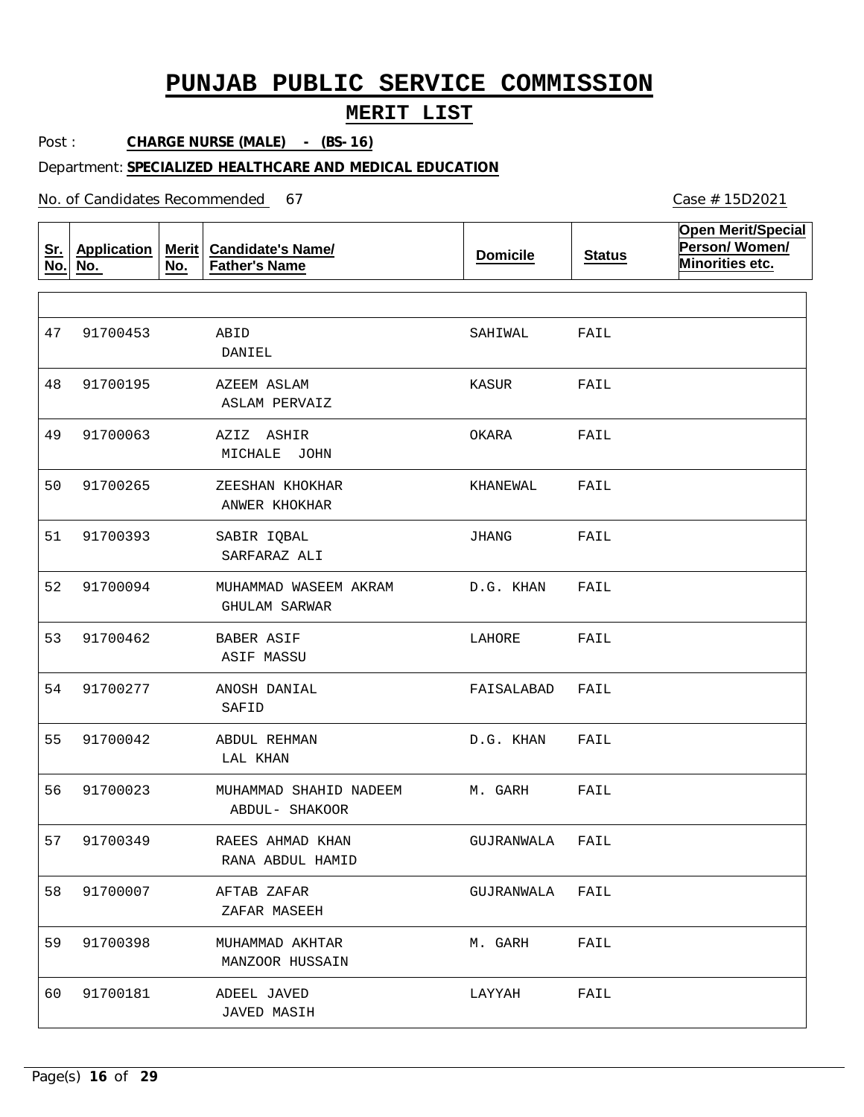## **MERIT LIST**

Post : **CHARGE NURSE (MALE) - (BS-16)**

#### Department: **SPECIALIZED HEALTHCARE AND MEDICAL EDUCATION**

No. of Candidates Recommended

**Sr. No. Application No. Merit No. Candidate's Name/ Father's Name Domicile Status Open Merit/Special Person/ Women/ Minorities etc.** ABID AZEEM ASLAM AZIZ ASHIR ZEESHAN KHOKHAR SABIR IQBAL MUHAMMAD WASEEM AKRAM BABER ASIF ANOSH DANIAL ABDUL REHMAN MUHAMMAD SHAHID NADEEM RAEES AHMAD KHAN AFTAB ZAFAR MUHAMMAD AKHTAR ADEEL JAVED DANIEL ASLAM PERVAIZ MICHALE JOHN ANWER KHOKHAR SARFARAZ ALI GHULAM SARWAR ASIF MASSU SAFID LAL KHAN ABDUL- SHAKOOR RANA ABDUL HAMID ZAFAR MASEEH MANZOOR HUSSAIN JAVED MASIH 47 48 49 50 91700265 51 52 91700094 53 91700462 54 91700277 55 56 57 58 59 91700398 60 91700453 91700195 91700063 91700393 91700042 91700023 91700349 91700007 91700181 SAHIWAL KASUR OKARA KHANEWAL JHANG D.G. KHAN LAHORE FAISALABAD D.G. KHAN M. GARH GUJRANWALA GUJRANWALA M. GARH LAYYAH FAIL FAIL FAIL FAIL FAIL FAIL FAIL FAIL FAIL FAIL FAIL FAIL FAIL FAIL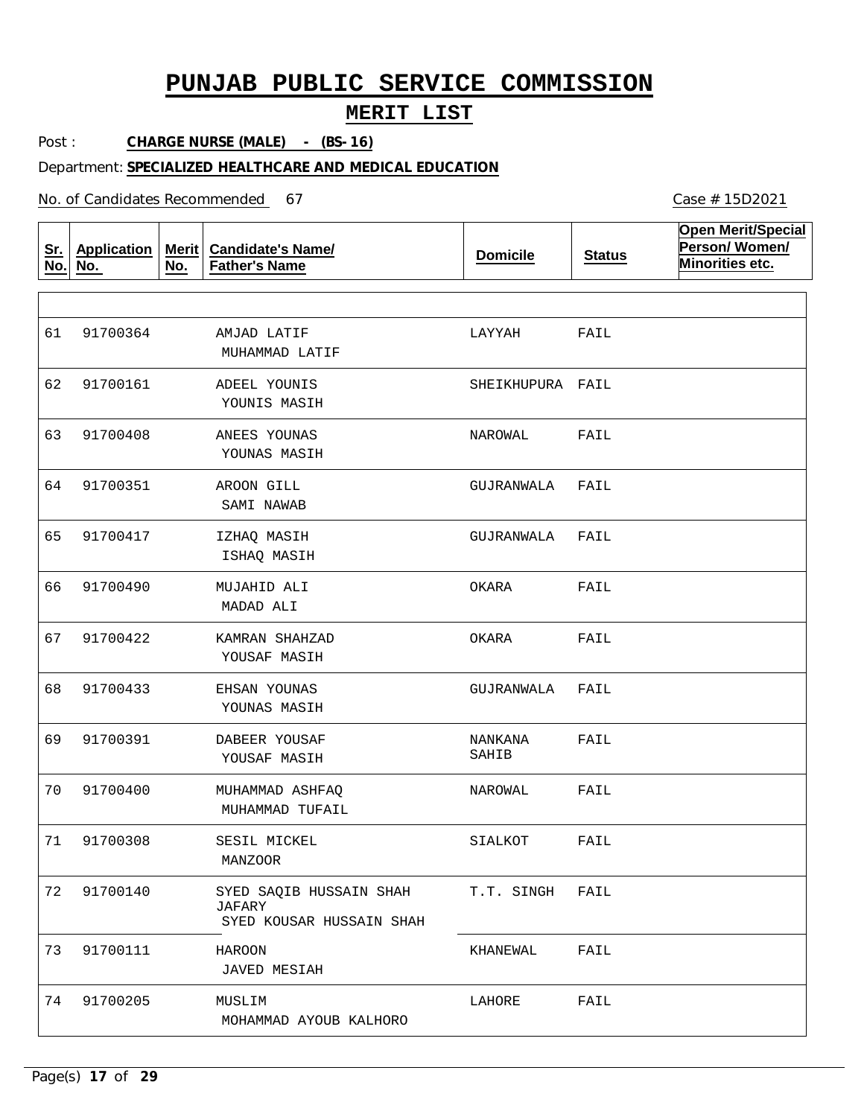## **MERIT LIST**

Post : **CHARGE NURSE (MALE) - (BS-16)**

#### Department: **SPECIALIZED HEALTHCARE AND MEDICAL EDUCATION**

No. of Candidates Recommended

**Sr. No. Application No. Merit No. Candidate's Name/ Father's Name Domicile Status Open Merit/Special Person/ Women/ Minorities etc.** AMJAD LATIF ADEEL YOUNIS ANEES YOUNAS AROON GILL IZHAQ MASIH MUJAHID ALI KAMRAN SHAHZAD EHSAN YOUNAS DABEER YOUSAF MUHAMMAD ASHFAQ SESIL MICKEL SYED SAQIB HUSSAIN SHAH JAFARY HAROON MUSLIM MUHAMMAD LATIF YOUNIS MASIH YOUNAS MASIH SAMI NAWAB ISHAQ MASIH MADAD ALI YOUSAF MASIH YOUNAS MASIH YOUSAF MASIH MUHAMMAD TUFAIL MANZOOR SYED KOUSAR HUSSAIN SHAH JAVED MESIAH MOHAMMAD AYOUB KALHORO 61 62 63 64 91700351 65 66 67 91700422 68 69 70 71 72 73 74 91700364 91700161 91700408 91700417 91700490 91700433 91700391 91700400 91700308 91700140 91700111 91700205 LAYYAH SHEIKHUPURA FAIL NAROWAL GUJRANWALA GUJRANWALA OKARA OKARA GUJRANWALA NANKANA SAHIB NAROWAL SIALKOT T.T. SINGH KHANEWAL LAHORE FAIL FAIL FAIL FAIL FAIL FAIL FAIL FAIL FAIL FAIL FAIL FAIL. FAIL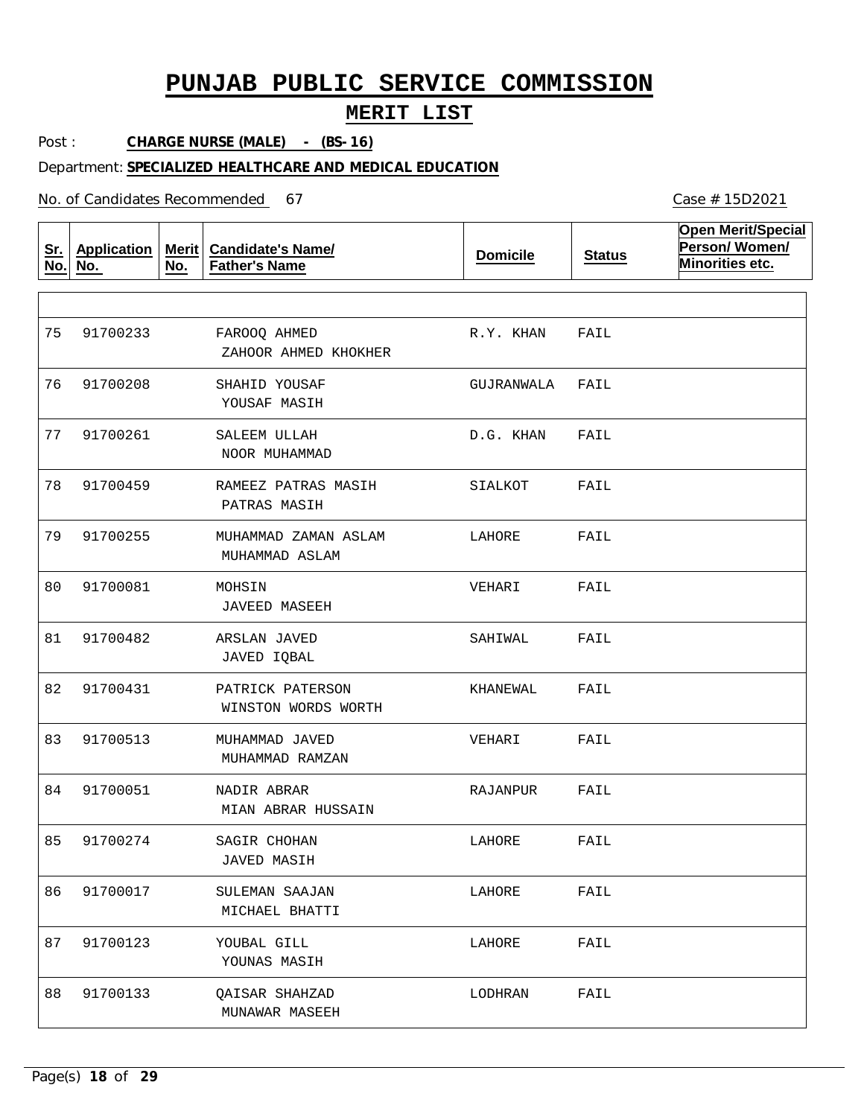## **MERIT LIST**

Post : **CHARGE NURSE (MALE) - (BS-16)**

#### Department: **SPECIALIZED HEALTHCARE AND MEDICAL EDUCATION**

No. of Candidates Recommended

**Sr. No. Application No. Merit No. Candidate's Name/ Father's Name Domicile Status Open Merit/Special Person/ Women/ Minorities etc.** FAROOQ AHMED SHAHID YOUSAF SALEEM ULLAH RAMEEZ PATRAS MASIH MUHAMMAD ZAMAN ASLAM MOHSIN ARSLAN JAVED PATRICK PATERSON MUHAMMAD JAVED NADIR ABRAR SAGIR CHOHAN SULEMAN SAAJAN YOUBAL GILL QAISAR SHAHZAD ZAHOOR AHMED KHOKHER YOUSAF MASIH NOOR MUHAMMAD PATRAS MASIH MUHAMMAD ASLAM JAVEED MASEEH JAVED IQBAL WINSTON WORDS WORTH MUHAMMAD RAMZAN MIAN ABRAR HUSSAIN JAVED MASIH MICHAEL BHATTI YOUNAS MASIH MUNAWAR MASEEH 75 76 77 78 91700459 79 80 81 82 91700431 83 91700513 84 85 86 87 91700123 88 91700233 91700208 91700261 91700255 91700081 91700482 91700051 91700274 91700017 91700133 R.Y. KHAN GUJRANWALA D.G. KHAN SIALKOT LAHORE VEHARI SAHIWAL KHANEWAL VEHARI RAJANPUR LAHORE LAHORE LAHORE LODHRAN FAIL FAIL FAIL FAIL FAIL FAIL FAIL FAIL FAIL FAIL FAIL FAIL FAIL FAIL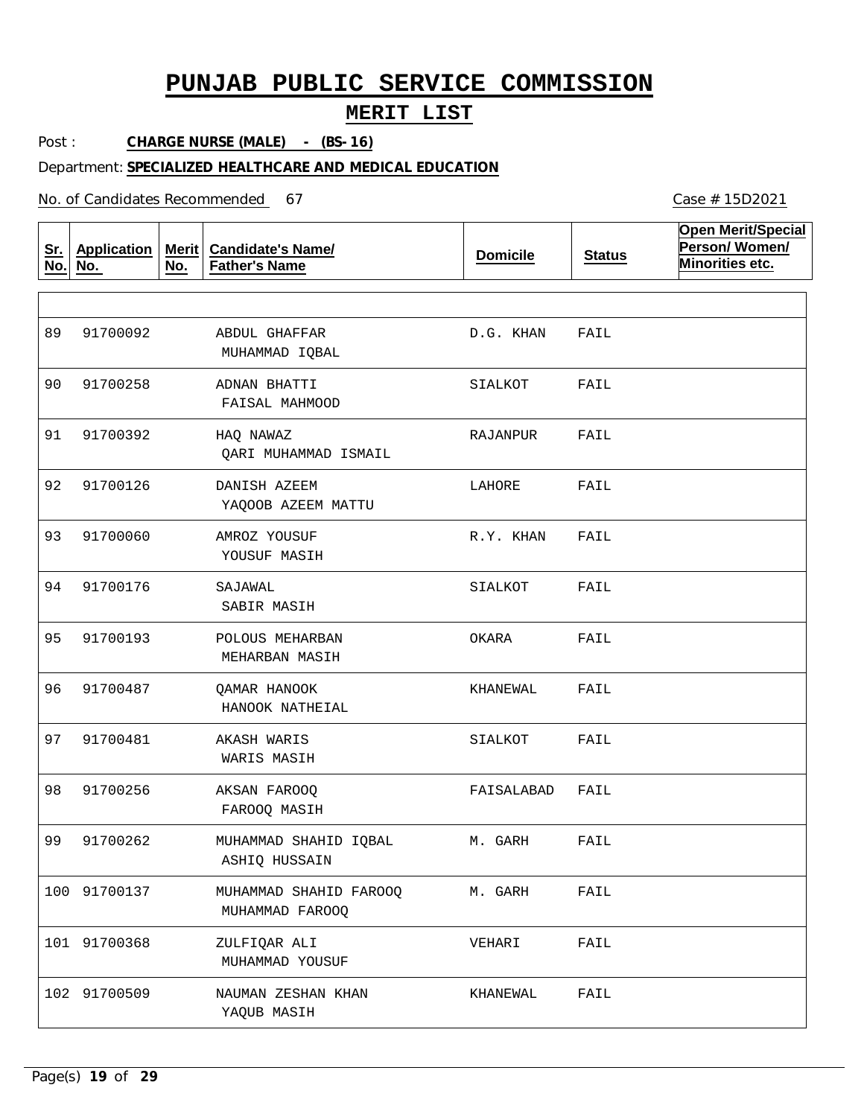## **MERIT LIST**

Post : **CHARGE NURSE (MALE) - (BS-16)**

### Department: **SPECIALIZED HEALTHCARE AND MEDICAL EDUCATION**

No. of Candidates Recommended

**Sr. No. Application No. Merit No. Candidate's Name/ Father's Name Domicile Status Open Merit/Special Person/ Women/ Minorities etc.** ABDUL GHAFFAR ADNAN BHATTI HAQ NAWAZ DANISH AZEEM AMROZ YOUSUF SAJAWAL POLOUS MEHARBAN QAMAR HANOOK AKASH WARIS AKSAN FAROOQ MUHAMMAD SHAHID IQBAL MUHAMMAD SHAHID FAROOQ ZULFIQAR ALI NAUMAN ZESHAN KHAN MUHAMMAD IQBAL FAISAL MAHMOOD QARI MUHAMMAD ISMAIL YAQOOB AZEEM MATTU YOUSUF MASIH SABIR MASIH MEHARBAN MASIH HANOOK NATHEIAL WARIS MASIH FAROOQ MASIH ASHIQ HUSSAIN MUHAMMAD FAROOQ MUHAMMAD YOUSUF YAQUB MASIH 89 90 91 91700392 92 91700126 93 94 91700176 95 91700193 96 91700487 97 91700481 98 91700256 99 91700262 100 91700137 101 91700368 102 91700509 91700092 91700258 91700060 D.G. KHAN SIALKOT RAJANPUR LAHORE R.Y. KHAN SIALKOT OKARA KHANEWAL SIALKOT FAISALABAD M. GARH M. GARH VEHARI KHANEWAL FAIL FAIL FAIL FAIL FAIL FAIL FAIL FAIL FAIL FAIL FAIL FAIL FAIL FAIL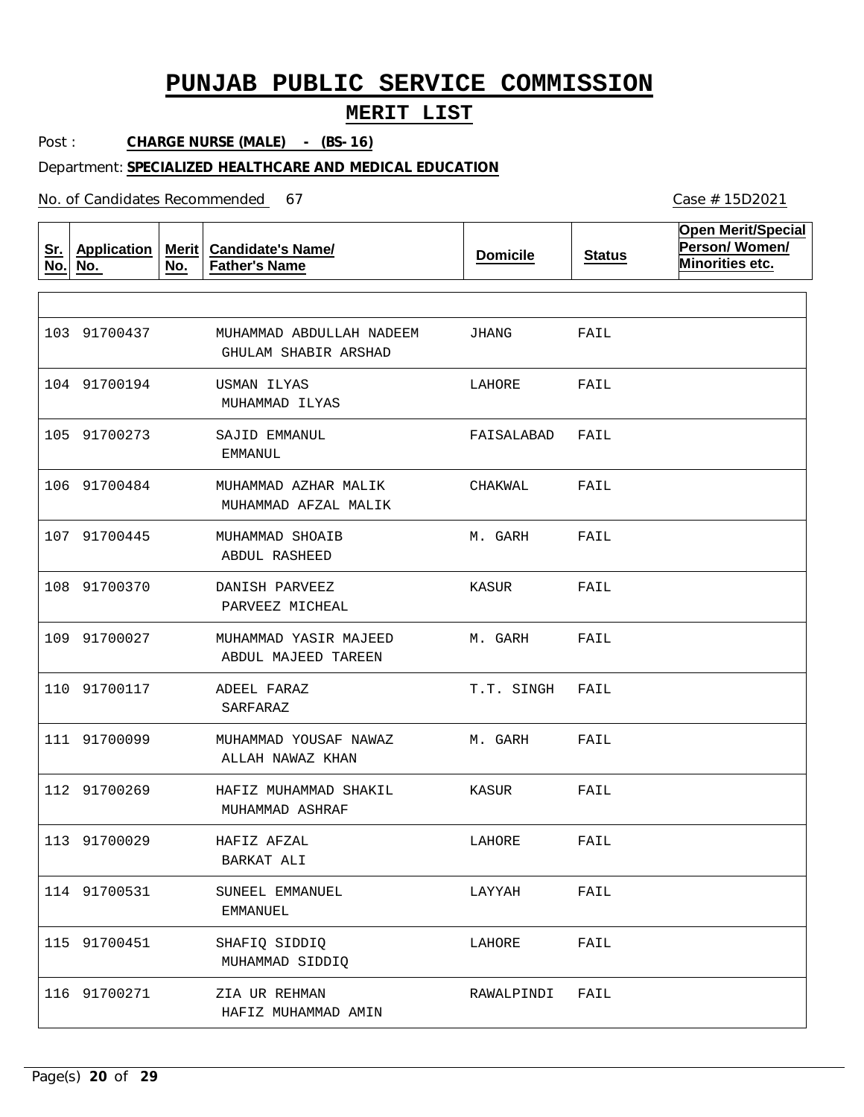## **MERIT LIST**

Post : **CHARGE NURSE (MALE) - (BS-16)**

#### Department: **SPECIALIZED HEALTHCARE AND MEDICAL EDUCATION**

No. of Candidates Recommended

**Sr. No. Application No. Merit No. Candidate's Name/ Father's Name Domicile Status Open Merit/Special Person/ Women/ Minorities etc.** MUHAMMAD ABDULLAH NADEEM USMAN ILYAS SAJID EMMANUL MUHAMMAD AZHAR MALIK MUHAMMAD SHOAIB DANISH PARVEEZ MUHAMMAD YASIR MAJEED ADEEL FARAZ MUHAMMAD YOUSAF NAWAZ HAFIZ MUHAMMAD SHAKIL HAFIZ AFZAL SUNEEL EMMANUEL SHAFIQ SIDDIQ ZIA UR REHMAN GHULAM SHABIR ARSHAD MUHAMMAD ILYAS EMMANUL MUHAMMAD AFZAL MALIK ABDUL RASHEED PARVEEZ MICHEAL ABDUL MAJEED TAREEN SARFARAZ ALLAH NAWAZ KHAN MUHAMMAD ASHRAF BARKAT ALI EMMANUEL MUHAMMAD SIDDIQ HAFIZ MUHAMMAD AMIN 103 91700437 104 91700194 105 91700273 106 91700484 107 91700445 108 91700370 109 91700027 110 91700117 111 91700099 112 91700269 113 91700029 114 91700531 115 91700451 116 91700271 JHANG LAHORE FAISALABAD CHAKWAL M. GARH KASUR M. GARH T.T. SINGH M. GARH KASUR LAHORE LAYYAH LAHORE RAWALPINDI FAIL FAIL FAIL FAIL FAIL FAIL FAIL FAIL FAIL FAIL FAIL FAIL FAIL FAIL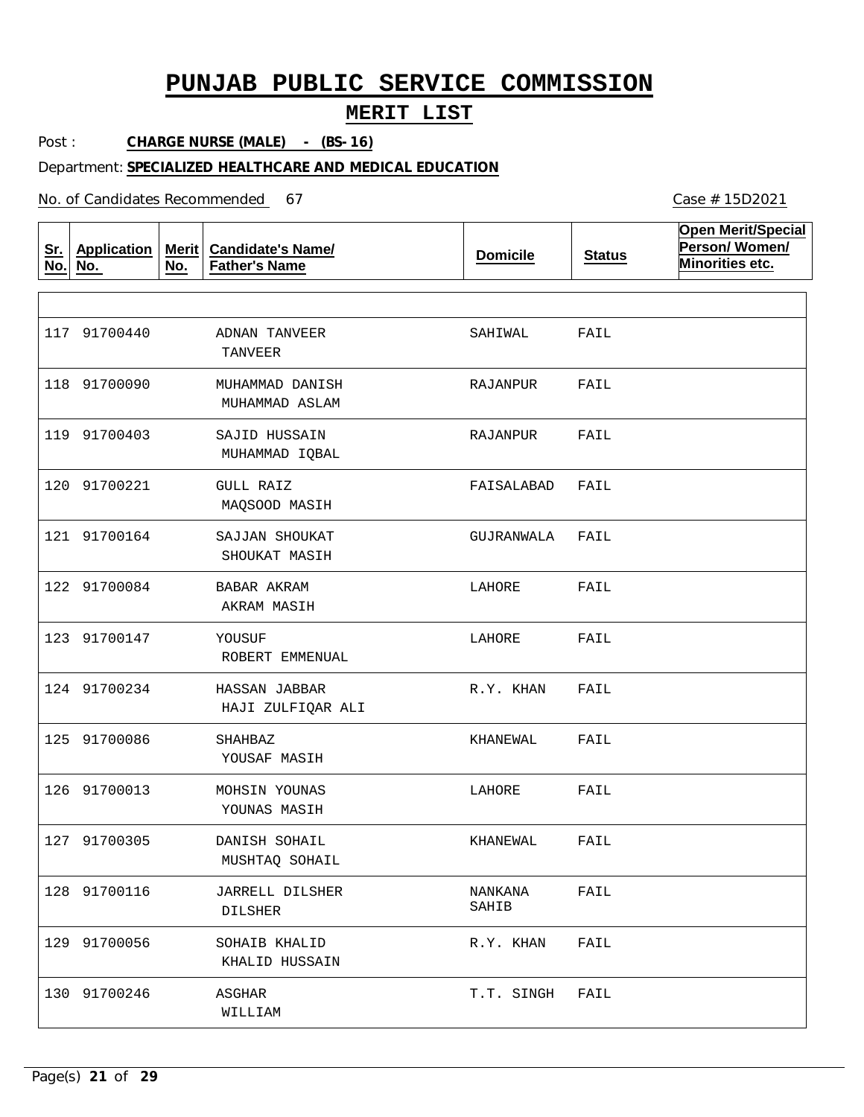## **MERIT LIST**

Post : **CHARGE NURSE (MALE) - (BS-16)**

### Department: **SPECIALIZED HEALTHCARE AND MEDICAL EDUCATION**

No. of Candidates Recommended

| <u>Sr.</u><br>No. | <b>Application</b><br>No. | Merit $ $<br>No. | <b>Candidate's Name/</b><br><b>Father's Name</b> | <b>Domicile</b>  | <b>Status</b> | <b>Open Merit/Special</b><br>Person/Women/<br>Minorities etc. |
|-------------------|---------------------------|------------------|--------------------------------------------------|------------------|---------------|---------------------------------------------------------------|
|                   |                           |                  |                                                  |                  |               |                                                               |
|                   | 117 91700440              |                  | ADNAN TANVEER<br><b>TANVEER</b>                  | SAHIWAL          | FAIL          |                                                               |
|                   | 118 91700090              |                  | MUHAMMAD DANISH<br>MUHAMMAD ASLAM                | RAJANPUR         | FAIL          |                                                               |
|                   | 119 91700403              |                  | SAJID HUSSAIN<br>MUHAMMAD IQBAL                  | RAJANPUR         | FAIL          |                                                               |
|                   | 120 91700221              |                  | <b>GULL RAIZ</b><br>MAQSOOD MASIH                | FAISALABAD       | FAIL          |                                                               |
|                   | 121 91700164              |                  | SAJJAN SHOUKAT<br>SHOUKAT MASIH                  | GUJRANWALA       | FAIL          |                                                               |
|                   | 122 91700084              |                  | BABAR AKRAM<br>AKRAM MASIH                       | LAHORE           | FAIL          |                                                               |
|                   | 123 91700147              |                  | YOUSUF<br>ROBERT EMMENUAL                        | LAHORE           | FAIL          |                                                               |
|                   | 124 91700234              |                  | HASSAN JABBAR<br>HAJI ZULFIQAR ALI               | R.Y. KHAN        | FAIL          |                                                               |
|                   | 125 91700086              |                  | SHAHBAZ<br>YOUSAF MASIH                          | KHANEWAL         | FAIL          |                                                               |
|                   | 126 91700013              |                  | MOHSIN YOUNAS<br>YOUNAS MASIH                    | LAHORE           | FAIL          |                                                               |
|                   | 127 91700305              |                  | DANISH SOHAIL<br>MUSHTAQ SOHAIL                  | KHANEWAL         | FAIL          |                                                               |
|                   | 128 91700116              |                  | <b>JARRELL DILSHER</b><br><b>DILSHER</b>         | NANKANA<br>SAHIB | FAIL          |                                                               |
|                   | 129 91700056              |                  | SOHAIB KHALID<br>KHALID HUSSAIN                  | R.Y. KHAN        | FAIL          |                                                               |
|                   | 130 91700246              |                  | ASGHAR<br>WILLIAM                                | T.T. SINGH       | FAIL          |                                                               |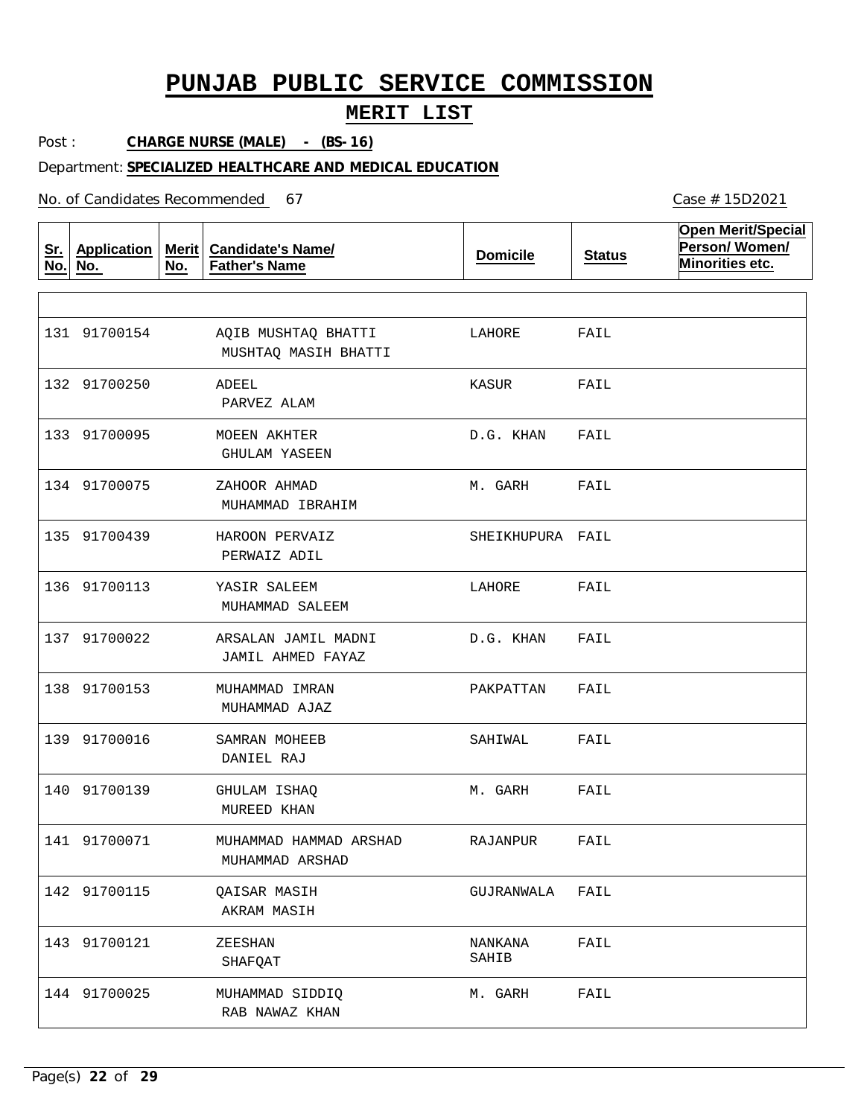## **MERIT LIST**

Post : **CHARGE NURSE (MALE) - (BS-16)**

Department: **SPECIALIZED HEALTHCARE AND MEDICAL EDUCATION**

No. of Candidates Recommended

**Sr. No. No. Application Merit No. Candidate's Name/ Father's Name Domicile Status Open Merit/Special Person/ Women/ Minorities etc.** AQIB MUSHTAQ BHATTI ADEEL MOEEN AKHTER ZAHOOR AHMAD HAROON PERVAIZ YASIR SALEEM ARSALAN JAMIL MADNI MUHAMMAD IMRAN SAMRAN MOHEEB GHULAM ISHAQ MUHAMMAD HAMMAD ARSHAD QAISAR MASIH ZEESHAN MUHAMMAD SIDDIQ MUSHTAQ MASIH BHATTI PARVEZ ALAM GHULAM YASEEN MUHAMMAD IBRAHIM PERWAIZ ADIL MUHAMMAD SALEEM JAMIL AHMED FAYAZ MUHAMMAD AJAZ DANIEL RAJ MUREED KHAN MUHAMMAD ARSHAD AKRAM MASIH SHAFQAT RAB NAWAZ KHAN 131 91700154 132 91700250 133 91700095 134 91700075 135 91700439 136 91700113 137 91700022 138 91700153 139 91700016 140 91700139 141 91700071 142 91700115 143 91700121 144 91700025 LAHORE KASUR D.G. KHAN M. GARH SHEIKHUPURA FAIL LAHORE D.G. KHAN PAKPATTAN SAHIWAL M. GARH RAJANPUR GUJRANWALA NANKANA SAHIB M. GARH FAIL FAIL FAIL FAIL FAIL FAIL FAIL FAIL FAIL FAIL FAIL FAIL FAIL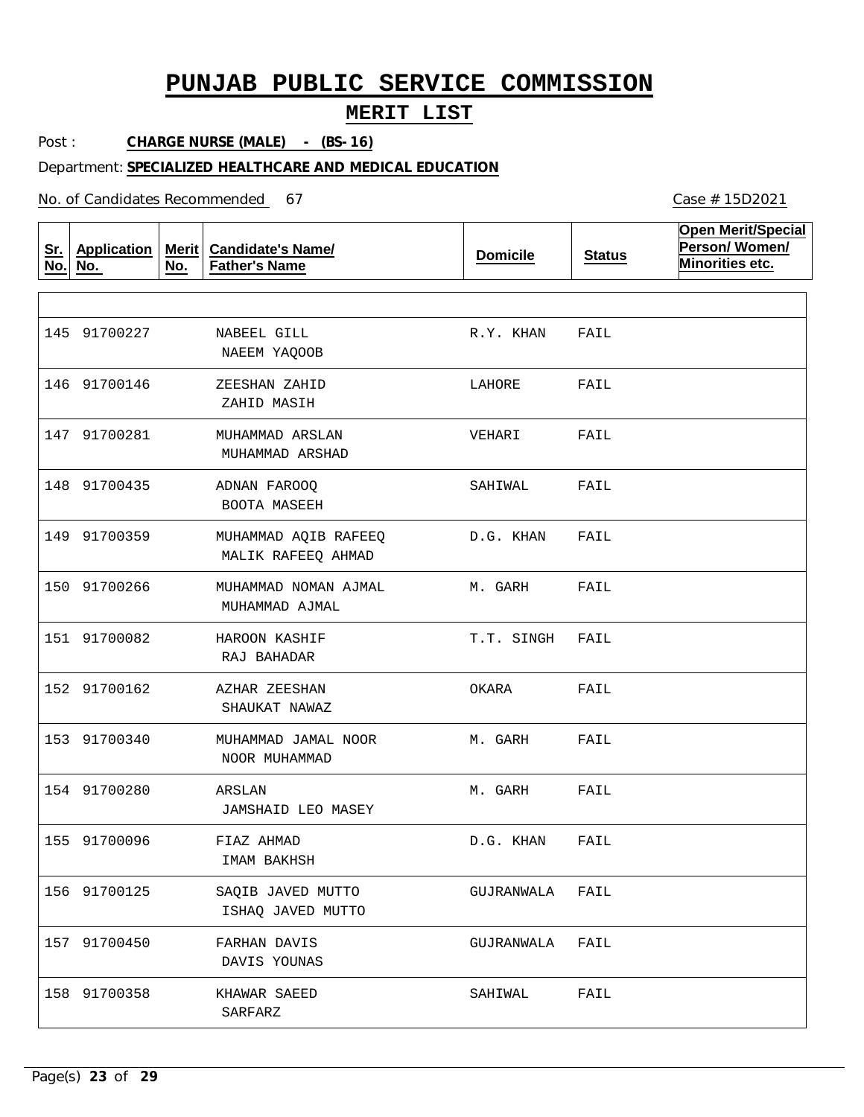## **MERIT LIST**

Post : **CHARGE NURSE (MALE) - (BS-16)**

### Department: **SPECIALIZED HEALTHCARE AND MEDICAL EDUCATION**

No. of Candidates Recommended

**Sr. No. No. Application Merit Candidate's Name/ No. Father's Name Domicile Status Open Merit/Special Person/ Women/ Minorities etc.** NABEEL GILL ZEESHAN ZAHID MUHAMMAD ARSLAN ADNAN FAROOQ MUHAMMAD AQIB RAFEEQ MUHAMMAD NOMAN AJMAL HAROON KASHIF AZHAR ZEESHAN MUHAMMAD JAMAL NOOR ARSLAN FIAZ AHMAD SAQIB JAVED MUTTO FARHAN DAVIS KHAWAR SAEED NAEEM YAQOOB ZAHID MASIH MUHAMMAD ARSHAD BOOTA MASEEH MALIK RAFEEQ AHMAD MUHAMMAD AJMAL RAJ BAHADAR SHAUKAT NAWAZ NOOR MUHAMMAD JAMSHAID LEO MASEY IMAM BAKHSH ISHAQ JAVED MUTTO DAVIS YOUNAS SARFARZ 145 91700227 146 91700146 147 91700281 148 91700435 149 91700359 150 91700266 151 91700082 152 91700162 153 91700340 154 91700280 155 91700096 156 91700125 157 91700450 158 91700358 R.Y. KHAN LAHORE VEHARI SAHIWAL D.G. KHAN M. GARH T.T. SINGH FAIL OKARA M. GARH M. GARH D.G. KHAN GUJRANWALA GUJRANWALA SAHIWAL FAIL FAIL FAIL FAIL FAIL FAIL FAIL FAIL FAIL FAIL FAIL FAIL FAIL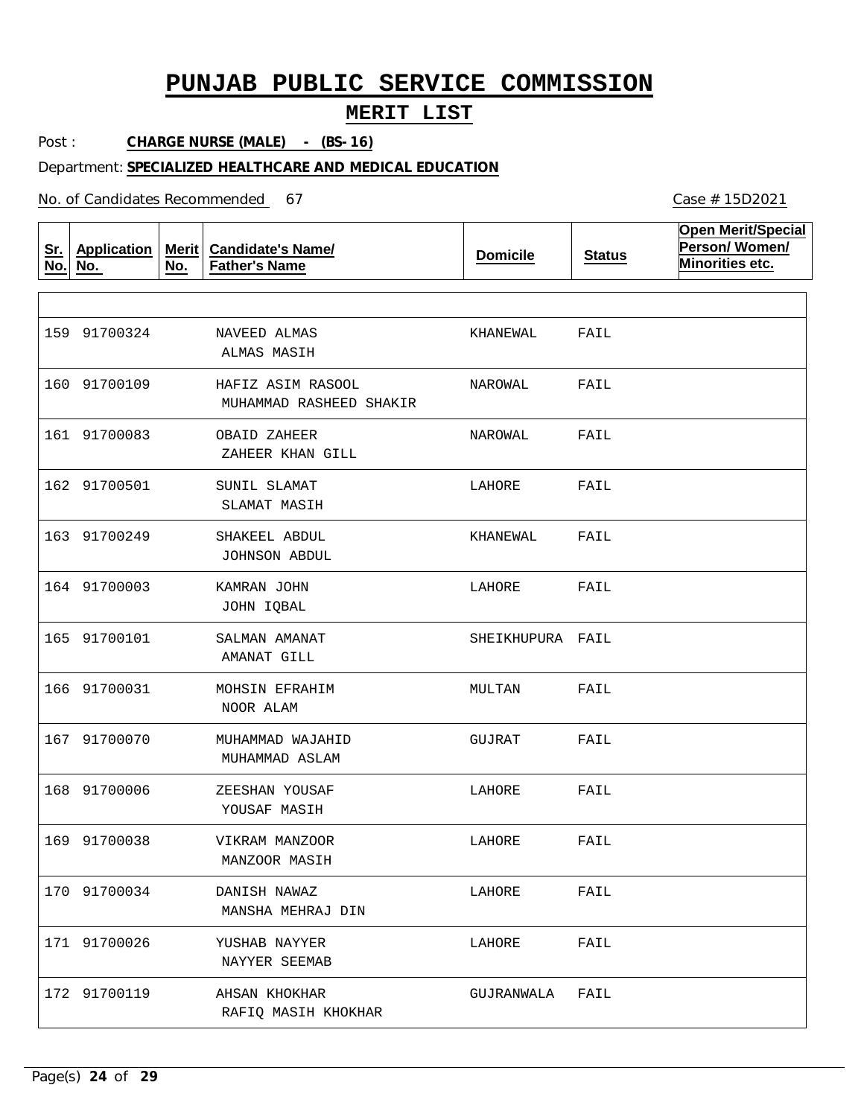## **MERIT LIST**

Post : **CHARGE NURSE (MALE) - (BS-16)**

### Department: **SPECIALIZED HEALTHCARE AND MEDICAL EDUCATION**

No. of Candidates Recommended

| <u>Sr.</u><br>No. | <b>Application</b><br>No. | <b>Merit</b><br>No. | <b>Candidate's Name/</b><br><b>Father's Name</b> | <b>Domicile</b>  | <b>Status</b> | <b>Open Merit/Special</b><br>Person/Women/<br>Minorities etc. |
|-------------------|---------------------------|---------------------|--------------------------------------------------|------------------|---------------|---------------------------------------------------------------|
|                   |                           |                     |                                                  |                  |               |                                                               |
|                   | 159 91700324              |                     | NAVEED ALMAS<br>ALMAS MASIH                      | KHANEWAL         | FAIL          |                                                               |
|                   | 160 91700109              |                     | HAFIZ ASIM RASOOL<br>MUHAMMAD RASHEED SHAKIR     | NAROWAL          | FAIL          |                                                               |
|                   | 161 91700083              |                     | OBAID ZAHEER<br>ZAHEER KHAN GILL                 | NAROWAL          | FAIL          |                                                               |
|                   | 162 91700501              |                     | SUNIL SLAMAT<br>SLAMAT MASIH                     | LAHORE           | FAIL          |                                                               |
|                   | 163 91700249              |                     | SHAKEEL ABDUL<br>JOHNSON ABDUL                   | KHANEWAL         | FAIL          |                                                               |
|                   | 164 91700003              |                     | KAMRAN JOHN<br>JOHN IQBAL                        | LAHORE           | FAIL          |                                                               |
|                   | 165 91700101              |                     | SALMAN AMANAT<br>AMANAT GILL                     | SHEIKHUPURA FAIL |               |                                                               |
|                   | 166 91700031              |                     | MOHSIN EFRAHIM<br>NOOR ALAM                      | MULTAN           | FAIL          |                                                               |
|                   | 167 91700070              |                     | MUHAMMAD WAJAHID<br>MUHAMMAD ASLAM               | GUJRAT           | FAIL          |                                                               |
|                   | 168 91700006              |                     | ZEESHAN YOUSAF<br>YOUSAF MASIH                   | LAHORE           | FAIL          |                                                               |
|                   | 169 91700038              |                     | VIKRAM MANZOOR<br>MANZOOR MASIH                  | LAHORE           | FAIL          |                                                               |
|                   | 170 91700034              |                     | DANISH NAWAZ<br>MANSHA MEHRAJ DIN                | LAHORE           | FAIL          |                                                               |
|                   | 171 91700026              |                     | YUSHAB NAYYER<br>NAYYER SEEMAB                   | LAHORE           | FAIL          |                                                               |
|                   | 172 91700119              |                     | AHSAN KHOKHAR<br>RAFIQ MASIH KHOKHAR             | GUJRANWALA       | FAIL          |                                                               |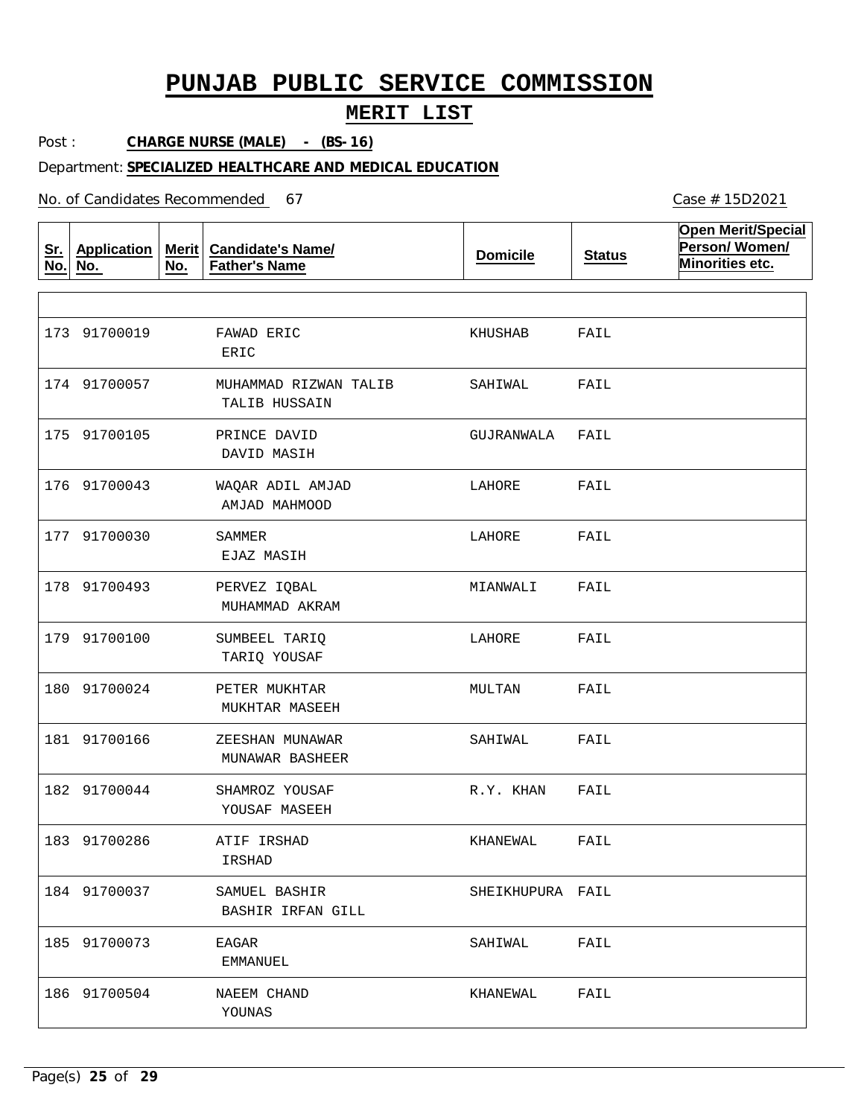## **MERIT LIST**

Post : **CHARGE NURSE (MALE) - (BS-16)**

### Department: **SPECIALIZED HEALTHCARE AND MEDICAL EDUCATION**

No. of Candidates Recommended

**Sr. No. No. Application Merit No. Candidate's Name/ Father's Name Domicile Status Open Merit/Special Person/ Women/ Minorities etc.** FAWAD ERIC MUHAMMAD RIZWAN TALIB PRINCE DAVID WAQAR ADIL AMJAD SAMMER PERVEZ IQBAL SUMBEEL TARIQ PETER MUKHTAR ZEESHAN MUNAWAR SHAMROZ YOUSAF ATIF IRSHAD SAMUEL BASHIR EAGAR NAEEM CHAND ERIC TALIB HUSSAIN DAVID MASIH AMJAD MAHMOOD EJAZ MASIH MUHAMMAD AKRAM TARIQ YOUSAF MUKHTAR MASEEH MUNAWAR BASHEER YOUSAF MASEEH IRSHAD BASHIR IRFAN GILL EMMANUEL YOUNAS 173 91700019 174 91700057 175 91700105 176 91700043 177 91700030 178 91700493 179 91700100 180 91700024 181 91700166 182 91700044 183 91700286 184 91700037 185 91700073 186 91700504 KHUSHAB SAHIWAL GUJRANWALA LAHORE LAHORE MIANWALI LAHORE MULTAN SAHIWAL R.Y. KHAN KHANEWAL SHEIKHUPURA FAIL SAHIWAL KHANEWAL FAIL FAIL FAIL FAIL FAIL FAIL FAIL FAIL FAIL FAIL FAIL FAIL FAIL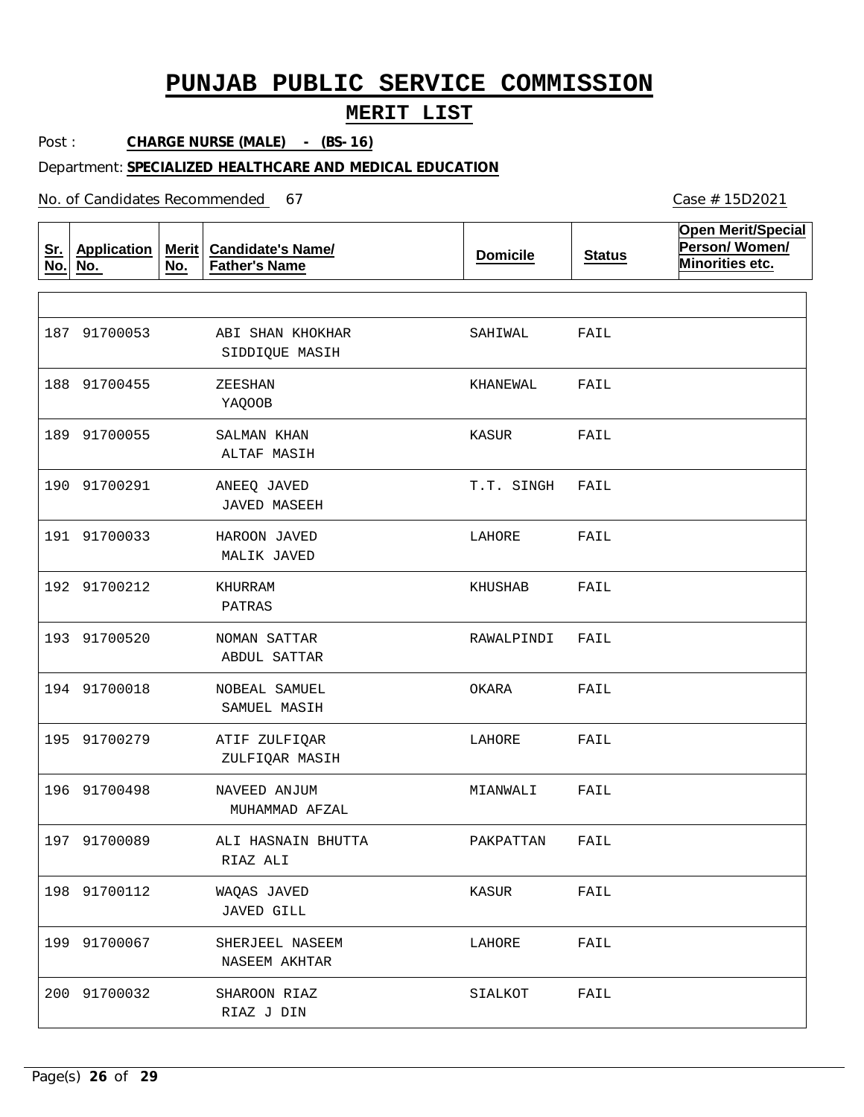## **MERIT LIST**

Post : **CHARGE NURSE (MALE) - (BS-16)**

### Department: **SPECIALIZED HEALTHCARE AND MEDICAL EDUCATION**

No. of Candidates Recommended

| <u>Sr.</u><br>No. | <b>Application</b><br>No. | Merit $ $<br>No. | <b>Candidate's Name/</b><br><b>Father's Name</b> | <b>Domicile</b> | <b>Status</b> | <b>Open Merit/Special</b><br>Person/Women/<br>Minorities etc. |
|-------------------|---------------------------|------------------|--------------------------------------------------|-----------------|---------------|---------------------------------------------------------------|
|                   |                           |                  |                                                  |                 |               |                                                               |
|                   | 187 91700053              |                  | ABI SHAN KHOKHAR<br>SIDDIQUE MASIH               | SAHIWAL         | FAIL          |                                                               |
|                   | 188 91700455              |                  | ZEESHAN<br>YAQOOB                                | KHANEWAL        | FAIL          |                                                               |
|                   | 189 91700055              |                  | SALMAN KHAN<br>ALTAF MASIH                       | KASUR           | FAIL          |                                                               |
|                   | 190 91700291              |                  | ANEEQ JAVED<br><b>JAVED MASEEH</b>               | T.T. SINGH      | FAIL          |                                                               |
|                   | 191 91700033              |                  | HAROON JAVED<br>MALIK JAVED                      | LAHORE          | FAIL          |                                                               |
|                   | 192 91700212              |                  | KHURRAM<br>PATRAS                                | KHUSHAB         | FAIL          |                                                               |
|                   | 193 91700520              |                  | NOMAN SATTAR<br>ABDUL SATTAR                     | RAWALPINDI      | FAIL          |                                                               |
|                   | 194 91700018              |                  | NOBEAL SAMUEL<br>SAMUEL MASIH                    | OKARA           | FAIL          |                                                               |
|                   | 195 91700279              |                  | ATIF ZULFIQAR<br>ZULFIQAR MASIH                  | LAHORE          | FAIL          |                                                               |
|                   | 196 91700498              |                  | NAVEED ANJUM<br>MUHAMMAD AFZAL                   | MIANWALI        | FAIL          |                                                               |
|                   | 197 91700089              |                  | ALI HASNAIN BHUTTA<br>RIAZ ALI                   | PAKPATTAN       | FAIL          |                                                               |
|                   | 198 91700112              |                  | WAQAS JAVED<br><b>JAVED GILL</b>                 | KASUR           | FAIL          |                                                               |
|                   | 199 91700067              |                  | SHERJEEL NASEEM<br>NASEEM AKHTAR                 | LAHORE          | FAIL          |                                                               |
|                   | 200 91700032              |                  | SHAROON RIAZ<br>RIAZ J DIN                       | SIALKOT         | FAIL          |                                                               |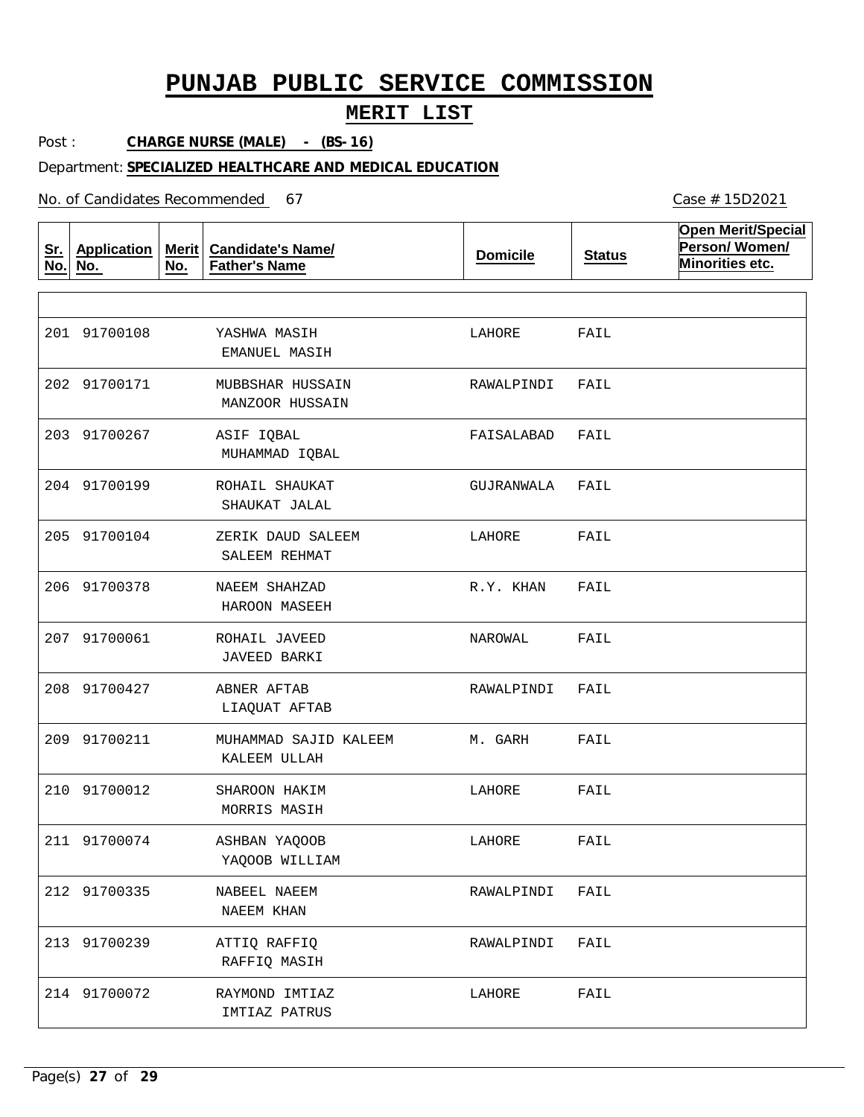## **MERIT LIST**

Post : **CHARGE NURSE (MALE) - (BS-16)**

### Department: **SPECIALIZED HEALTHCARE AND MEDICAL EDUCATION**

No. of Candidates Recommended

| <u>Sr.</u><br>No. | <b>Application</b><br>No. | Merit $ $<br>No. | <b>Candidate's Name/</b><br><b>Father's Name</b> | <b>Domicile</b> | <b>Status</b> | <b>Open Merit/Special</b><br>Person/Women/<br>Minorities etc. |
|-------------------|---------------------------|------------------|--------------------------------------------------|-----------------|---------------|---------------------------------------------------------------|
|                   |                           |                  |                                                  |                 |               |                                                               |
|                   | 201 91700108              |                  | YASHWA MASIH<br>EMANUEL MASIH                    | LAHORE          | FAIL          |                                                               |
|                   | 202 91700171              |                  | MUBBSHAR HUSSAIN<br>MANZOOR HUSSAIN              | RAWALPINDI      | FAIL          |                                                               |
|                   | 203 91700267              |                  | ASIF IQBAL<br>MUHAMMAD IQBAL                     | FAISALABAD      | FAIL          |                                                               |
|                   | 204 91700199              |                  | ROHAIL SHAUKAT<br>SHAUKAT JALAL                  | GUJRANWALA      | FAIL          |                                                               |
|                   | 205 91700104              |                  | ZERIK DAUD SALEEM<br>SALEEM REHMAT               | LAHORE          | FAIL          |                                                               |
|                   | 206 91700378              |                  | NAEEM SHAHZAD<br>HAROON MASEEH                   | R.Y. KHAN       | FAIL          |                                                               |
|                   | 207 91700061              |                  | ROHAIL JAVEED<br><b>JAVEED BARKI</b>             | NAROWAL         | FAIL          |                                                               |
|                   | 208 91700427              |                  | ABNER AFTAB<br>LIAQUAT AFTAB                     | RAWALPINDI      | FAIL          |                                                               |
|                   | 209 91700211              |                  | MUHAMMAD SAJID KALEEM<br>KALEEM ULLAH            | M. GARH         | FAIL          |                                                               |
|                   | 210 91700012              |                  | SHAROON HAKIM<br>MORRIS MASIH                    | LAHORE          | FAIL          |                                                               |
|                   | 211 91700074              |                  | ASHBAN YAQOOB<br>YAQOOB WILLIAM                  | LAHORE          | FAIL          |                                                               |
|                   | 212 91700335              |                  | NABEEL NAEEM<br>NAEEM KHAN                       | RAWALPINDI      | FAIL          |                                                               |
|                   | 213 91700239              |                  | ATTIQ RAFFIQ<br>RAFFIQ MASIH                     | RAWALPINDI      | FAIL          |                                                               |
|                   | 214 91700072              |                  | RAYMOND IMTIAZ<br>IMTIAZ PATRUS                  | LAHORE          | FAIL          |                                                               |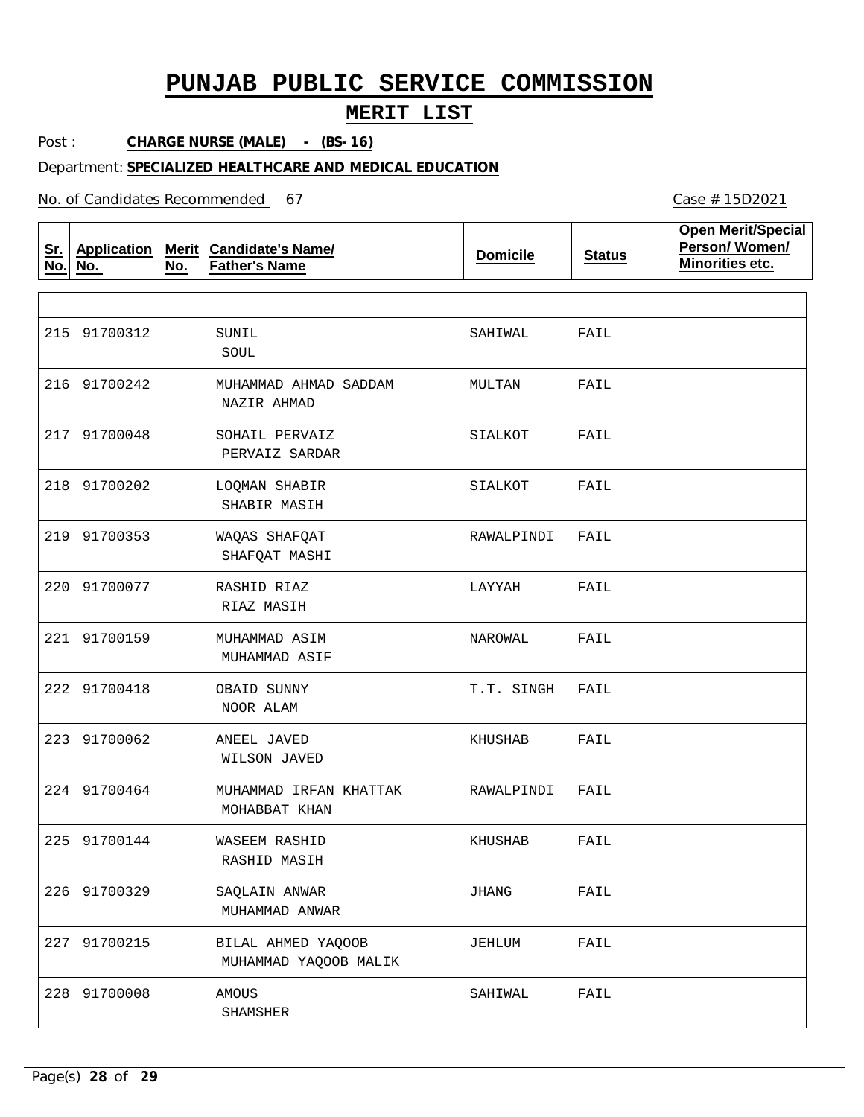Post : **CHARGE NURSE (MALE) - (BS-16)**

### Department: **SPECIALIZED HEALTHCARE AND MEDICAL EDUCATION**

No. of Candidates Recommended

**Sr. No. Application No. Merit No. Candidate's Name/ Father's Name Domicile Status Open Merit/Special Person/ Women/ Minorities etc.** SUNIL MUHAMMAD AHMAD SADDAM SOHAIL PERVAIZ LOQMAN SHABIR WAQAS SHAFQAT RASHID RIAZ MUHAMMAD ASIM OBAID SUNNY ANEEL JAVED MUHAMMAD IRFAN KHATTAK WASEEM RASHID SAQLAIN ANWAR BILAL AHMED YAQOOB AMOUS SOUL NAZIR AHMAD PERVAIZ SARDAR SHABIR MASIH SHAFQAT MASHI RIAZ MASIH MUHAMMAD ASIF NOOR ALAM WILSON JAVED MOHABBAT KHAN RASHID MASIH MUHAMMAD ANWAR MUHAMMAD YAQOOB MALIK SHAMSHER 215 91700312 216 91700242 217 91700048 218 91700202 219 91700353 220 91700077 221 91700159 222 91700418 223 91700062 224 91700464 225 91700144 226 91700329 227 91700215 228 91700008 SAHIWAL MULTAN SIALKOT SIALKOT RAWALPINDI LAYYAH NAROWAL T.T. SINGH KHUSHAB RAWALPINDI KHUSHAB JHANG JEHLUM SAHIWAL FAIL FAIL FAIL FAIL FAIL FAIL FAIL FAIL FAIL FAIL FAIL FAIL FAIL FAIL

Case # 15D2021

## **MERIT LIST**